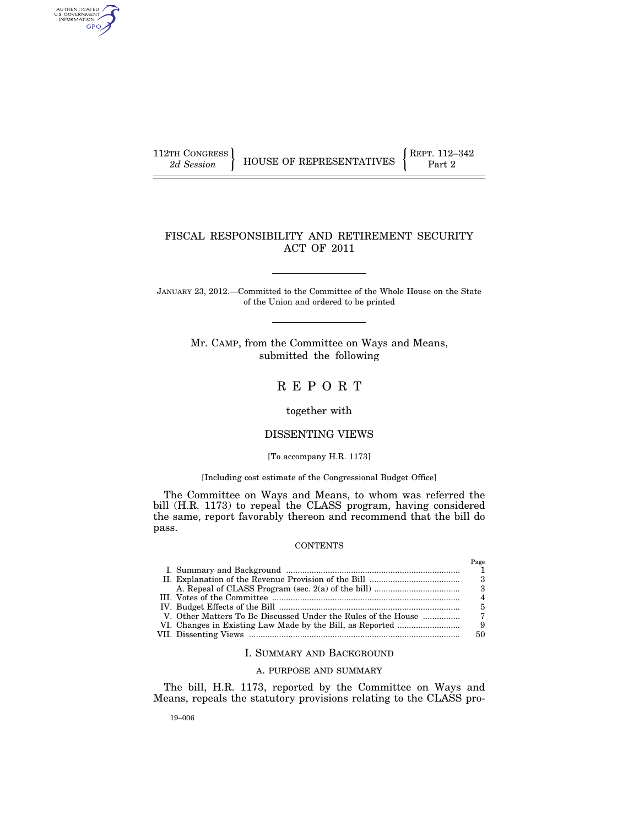AUTHENTICATED<br>U.S. GOVERNMENT<br>INFORMATION GPO

# FISCAL RESPONSIBILITY AND RETIREMENT SECURITY ACT OF 2011

JANUARY 23, 2012.—Committed to the Committee of the Whole House on the State of the Union and ordered to be printed

> Mr. CAMP, from the Committee on Ways and Means, submitted the following

# R E P O R T

## together with

#### DISSENTING VIEWS

## [To accompany H.R. 1173]

## [Including cost estimate of the Congressional Budget Office]

The Committee on Ways and Means, to whom was referred the bill (H.R. 1173) to repeal the CLASS program, having considered the same, report favorably thereon and recommend that the bill do pass.

#### **CONTENTS**

| V. Other Matters To Be Discussed Under the Rules of the House |  |
|---------------------------------------------------------------|--|
|                                                               |  |

# I. SUMMARY AND BACKGROUND

# A. PURPOSE AND SUMMARY

The bill, H.R. 1173, reported by the Committee on Ways and Means, repeals the statutory provisions relating to the CLASS pro-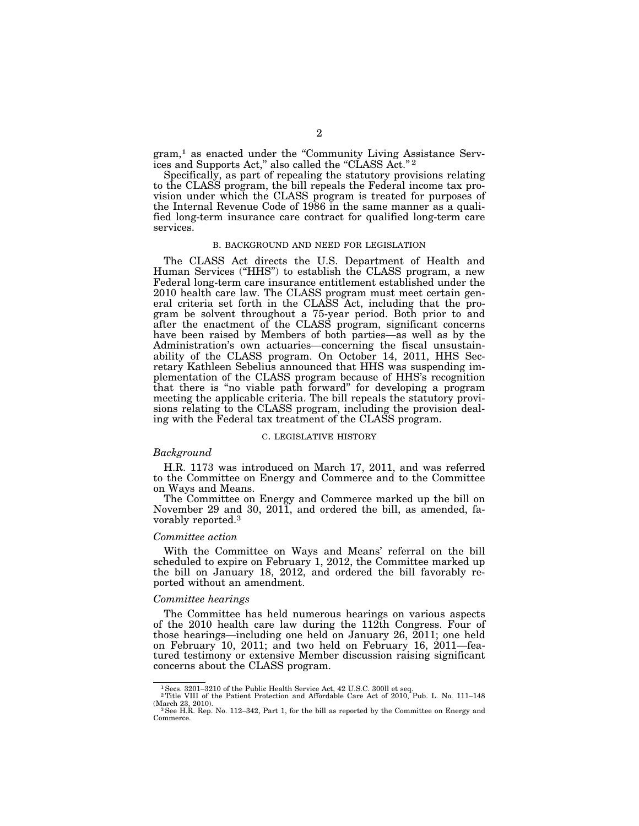gram,<sup>1</sup> as enacted under the "Community Living Assistance Services and Supports Act,'' also called the ''CLASS Act.'' 2

Specifically, as part of repealing the statutory provisions relating to the CLASS program, the bill repeals the Federal income tax provision under which the CLASS program is treated for purposes of the Internal Revenue Code of 1986 in the same manner as a qualified long-term insurance care contract for qualified long-term care services.

#### B. BACKGROUND AND NEED FOR LEGISLATION

The CLASS Act directs the U.S. Department of Health and Human Services (''HHS'') to establish the CLASS program, a new Federal long-term care insurance entitlement established under the 2010 health care law. The CLASS program must meet certain general criteria set forth in the CLASS Act, including that the program be solvent throughout a 75-year period. Both prior to and after the enactment of the CLASS program, significant concerns have been raised by Members of both parties—as well as by the Administration's own actuaries—concerning the fiscal unsustainability of the CLASS program. On October 14, 2011, HHS Secretary Kathleen Sebelius announced that HHS was suspending implementation of the CLASS program because of HHS's recognition that there is ''no viable path forward'' for developing a program meeting the applicable criteria. The bill repeals the statutory provisions relating to the CLASS program, including the provision dealing with the Federal tax treatment of the CLASS program.

#### C. LEGISLATIVE HISTORY

## *Background*

H.R. 1173 was introduced on March 17, 2011, and was referred to the Committee on Energy and Commerce and to the Committee on Ways and Means.

The Committee on Energy and Commerce marked up the bill on November 29 and 30, 2011, and ordered the bill, as amended, favorably reported.3

#### *Committee action*

With the Committee on Ways and Means' referral on the bill scheduled to expire on February 1, 2012, the Committee marked up the bill on January 18, 2012, and ordered the bill favorably reported without an amendment.

#### *Committee hearings*

The Committee has held numerous hearings on various aspects of the 2010 health care law during the 112th Congress. Four of those hearings—including one held on January 26, 2011; one held on February 10, 2011; and two held on February 16, 2011—featured testimony or extensive Member discussion raising significant concerns about the CLASS program.

<sup>1</sup>Secs. 3201–3210 of the Public Health Service Act, 42 U.S.C. 300ll et seq. 2Title VIII of the Patient Protection and Affordable Care Act of 2010, Pub. L. No. 111–148 (March 23, 2010). 3See H.R. Rep. No. 112–342, Part 1, for the bill as reported by the Committee on Energy and

Commerce.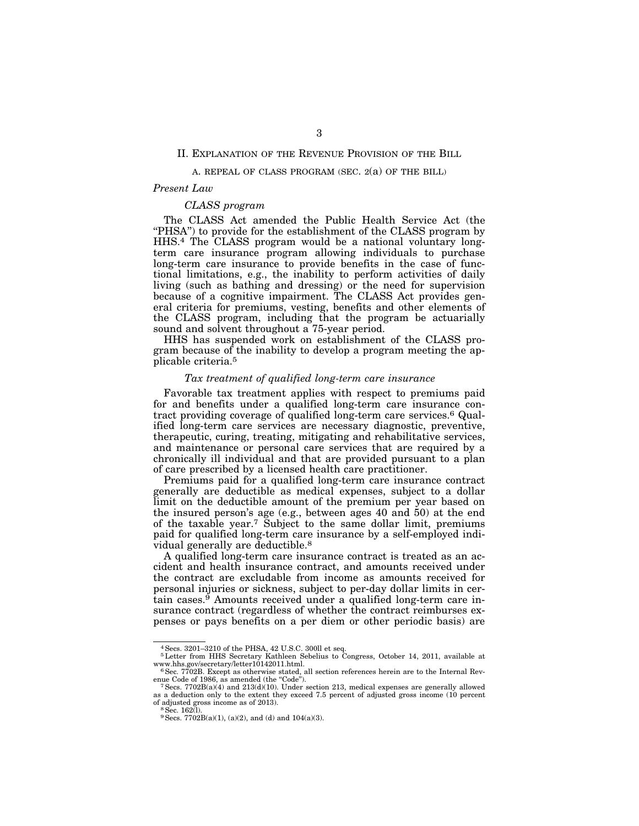# II. EXPLANATION OF THE REVENUE PROVISION OF THE BILL

A. REPEAL OF CLASS PROGRAM (SEC. 2(a) OF THE BILL)

## *Present Law*

# *CLASS program*

The CLASS Act amended the Public Health Service Act (the "PHSA") to provide for the establishment of the CLASS program by HHS.4 The CLASS program would be a national voluntary longterm care insurance program allowing individuals to purchase long-term care insurance to provide benefits in the case of functional limitations, e.g., the inability to perform activities of daily living (such as bathing and dressing) or the need for supervision because of a cognitive impairment. The CLASS Act provides general criteria for premiums, vesting, benefits and other elements of the CLASS program, including that the program be actuarially sound and solvent throughout a 75-year period.

HHS has suspended work on establishment of the CLASS program because of the inability to develop a program meeting the applicable criteria.5

## *Tax treatment of qualified long-term care insurance*

Favorable tax treatment applies with respect to premiums paid for and benefits under a qualified long-term care insurance contract providing coverage of qualified long-term care services.6 Qualified long-term care services are necessary diagnostic, preventive, therapeutic, curing, treating, mitigating and rehabilitative services, and maintenance or personal care services that are required by a chronically ill individual and that are provided pursuant to a plan of care prescribed by a licensed health care practitioner.

Premiums paid for a qualified long-term care insurance contract generally are deductible as medical expenses, subject to a dollar limit on the deductible amount of the premium per year based on the insured person's age (e.g., between ages 40 and 50) at the end of the taxable year.7 Subject to the same dollar limit, premiums paid for qualified long-term care insurance by a self-employed individual generally are deductible.8

A qualified long-term care insurance contract is treated as an accident and health insurance contract, and amounts received under the contract are excludable from income as amounts received for personal injuries or sickness, subject to per-day dollar limits in certain cases.9 Amounts received under a qualified long-term care insurance contract (regardless of whether the contract reimburses expenses or pays benefits on a per diem or other periodic basis) are

<sup>4</sup>Secs. 3201–3210 of the PHSA, 42 U.S.C. 300ll et seq. 5Letter from HHS Secretary Kathleen Sebelius to Congress, October 14, 2011, available at www.hhs.gov/secretary/letter10142011.html.<br>
<sup>6</sup>Sec. 7702B. Except as otherwise stated, all section references herein are to the Internal Rev-

enue Code of 1986, as amended (the "Code").<br>
7Secs. 7702B(a)(4) and 213(d)(10). Under section 213, medical expenses are generally allowed

as a deduction only to the extent they exceed 7.5 percent of adjusted gross income (10 percent of adjusted gross income as of 2013).<br><sup>8</sup>Sec. 162(l).

<sup>9</sup>Secs. 7702B(a)(1), (a)(2), and (d) and 104(a)(3).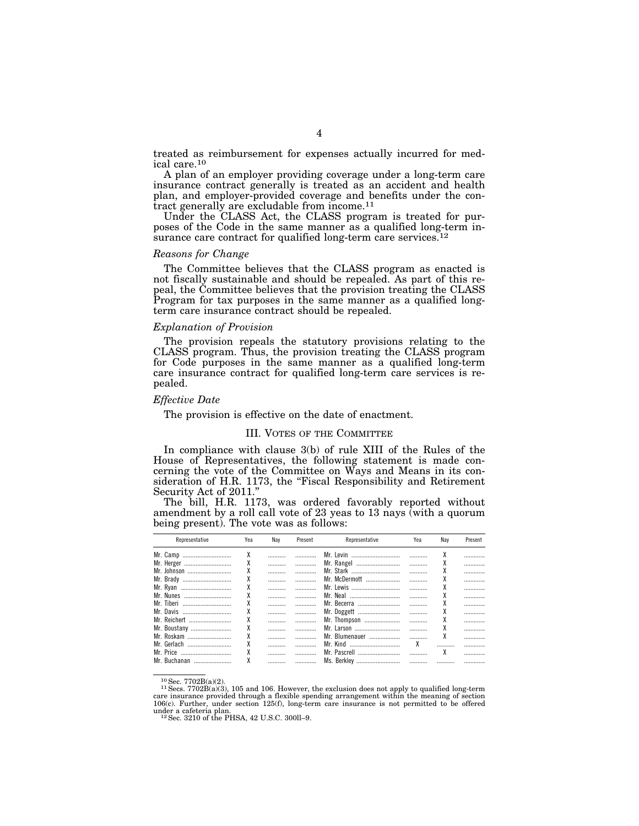treated as reimbursement for expenses actually incurred for medical care.10

A plan of an employer providing coverage under a long-term care insurance contract generally is treated as an accident and health plan, and employer-provided coverage and benefits under the contract generally are excludable from income.11

Under the CLASS Act, the CLASS program is treated for purposes of the Code in the same manner as a qualified long-term insurance care contract for qualified long-term care services.<sup>12</sup>

## *Reasons for Change*

The Committee believes that the CLASS program as enacted is not fiscally sustainable and should be repealed. As part of this repeal, the Committee believes that the provision treating the CLASS Program for tax purposes in the same manner as a qualified longterm care insurance contract should be repealed.

## *Explanation of Provision*

The provision repeals the statutory provisions relating to the CLASS program. Thus, the provision treating the CLASS program for Code purposes in the same manner as a qualified long-term care insurance contract for qualified long-term care services is repealed.

# *Effective Date*

The provision is effective on the date of enactment.

#### III. VOTES OF THE COMMITTEE

In compliance with clause 3(b) of rule XIII of the Rules of the House of Representatives, the following statement is made concerning the vote of the Committee on Ways and Means in its consideration of H.R. 1173, the "Fiscal Responsibility and Retirement Security Act of 2011.''

The bill, H.R. 1173, was ordered favorably reported without amendment by a roll call vote of 23 yeas to 13 nays (with a quorum being present). The vote was as follows:

| Representative   | Yea | Nav | Present | Representative | Yea | Nav | Present |
|------------------|-----|-----|---------|----------------|-----|-----|---------|
| Mr. Camp         | χ   |     |         | Mr. Levin      |     |     |         |
| Mr. Herger       | χ   |     |         |                |     |     |         |
| Mr. Johnson      |     |     |         | Mr. Stark      |     |     |         |
| Mr. Brady        | χ   |     |         | Mr. McDermott  |     | ۸   |         |
| Mr. Ryan         | χ   |     |         | Mr. Lewis      |     |     |         |
| Mr. Nunes        |     |     |         |                |     |     |         |
| Mr. Tiberi       |     |     |         | Mr. Becerra    |     |     |         |
| Mr. Davis        |     |     |         | Mr. Doggett    |     |     |         |
| Mr. Reichert     | χ   |     |         | Mr. Thompson   | .   |     |         |
| Mr. Boustany     |     |     |         | Mr. Larson     |     |     |         |
| Mr. Roskam       | χ   |     |         | Mr. Blumenauer |     | χ   |         |
| Mr. Gerlach      | χ   |     |         | Mr. Kind       | χ   |     |         |
| Mr. Price        | χ   |     |         | Mr. Pascrell   |     |     |         |
| Mr. Buchanan<br> | χ   |     |         | Ms. Berkley    |     |     |         |

<sup>10</sup> Sec. 7702B(a)(2). <sup>11</sup> Secs. 7702B(a)(3), 105 and 106. However, the exclusion does not apply to qualified long-term care insurance provided through a flexible spending arrangement within the meaning of section 106(c). Further, under section 125(f), long-term care insurance is not permitted to be offered under a cafeteria plan.<br><sup>12</sup> Sec. 3210 of the PHSA, 42 U.S.C. 300ll–9.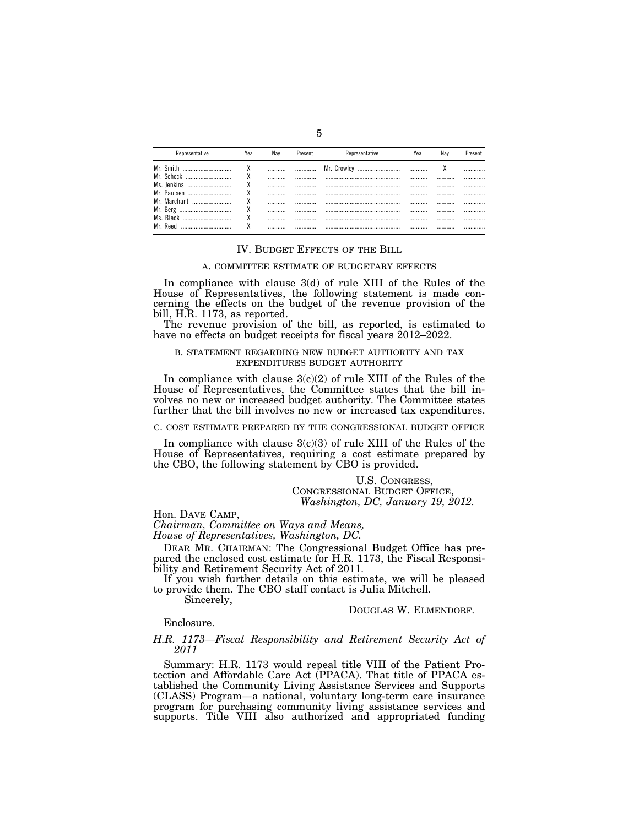|                 | Yea | Nav | Present | Yea | Nav | resent |  |
|-----------------|-----|-----|---------|-----|-----|--------|--|
| Mr. Smith<br>   |     |     |         |     |     |        |  |
| Mr. Schock<br>  |     |     |         |     |     |        |  |
| Ms. Jenkins     |     |     |         |     |     |        |  |
| Mr. Paulsen     |     |     |         |     |     |        |  |
| Mr Marchant<br> |     |     |         |     |     |        |  |
| Mr. Berg        |     |     |         |     |     |        |  |
| Ms. Black       |     |     |         |     |     |        |  |
| Mr Reed<br>     |     |     |         |     |     |        |  |

#### IV. BUDGET EFFECTS OF THE BILL

#### A. COMMITTEE ESTIMATE OF BUDGETARY EFFECTS

In compliance with clause 3(d) of rule XIII of the Rules of the House of Representatives, the following statement is made concerning the effects on the budget of the revenue provision of the bill, H.R. 1173, as reported.

The revenue provision of the bill, as reported, is estimated to have no effects on budget receipts for fiscal years 2012–2022.

### B. STATEMENT REGARDING NEW BUDGET AUTHORITY AND TAX EXPENDITURES BUDGET AUTHORITY

In compliance with clause  $3(c)(2)$  of rule XIII of the Rules of the House of Representatives, the Committee states that the bill involves no new or increased budget authority. The Committee states further that the bill involves no new or increased tax expenditures.

#### C. COST ESTIMATE PREPARED BY THE CONGRESSIONAL BUDGET OFFICE

In compliance with clause  $3(c)(3)$  of rule XIII of the Rules of the House of Representatives, requiring a cost estimate prepared by the CBO, the following statement by CBO is provided.

# U.S. CONGRESS, CONGRESSIONAL BUDGET OFFICE, *Washington, DC, January 19, 2012.*

#### Hon. DAVE CAMP,

*Chairman, Committee on Ways and Means, House of Representatives, Washington, DC.* 

DEAR MR. CHAIRMAN: The Congressional Budget Office has prepared the enclosed cost estimate for H.R. 1173, the Fiscal Responsibility and Retirement Security Act of 2011.

If you wish further details on this estimate, we will be pleased to provide them. The CBO staff contact is Julia Mitchell.

Sincerely,

#### DOUGLAS W. ELMENDORF.

# Enclosure.

#### *H.R. 1173—Fiscal Responsibility and Retirement Security Act of 2011*

Summary: H.R. 1173 would repeal title VIII of the Patient Protection and Affordable Care Act (PPACA). That title of PPACA established the Community Living Assistance Services and Supports (CLASS) Program—a national, voluntary long-term care insurance program for purchasing community living assistance services and supports. Title VIII also authorized and appropriated funding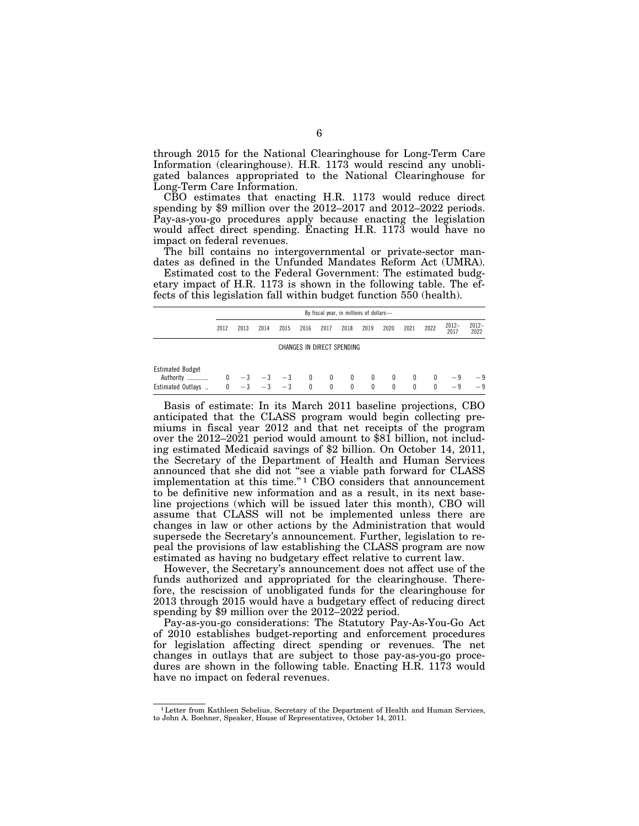through 2015 for the National Clearinghouse for Long-Term Care Information (clearinghouse). H.R. 1173 would rescind any unobligated balances appropriated to the National Clearinghouse for Long-Term Care Information.

CBO estimates that enacting H.R. 1173 would reduce direct spending by \$9 million over the 2012–2017 and 2012–2022 periods. Pay-as-you-go procedures apply because enacting the legislation would affect direct spending. Enacting H.R. 1173 would have no impact on federal revenues.

The bill contains no intergovernmental or private-sector mandates as defined in the Unfunded Mandates Reform Act (UMRA).

Estimated cost to the Federal Government: The estimated budgetary impact of H.R. 1173 is shown in the following table. The effects of this legislation fall within budget function 550 (health).

|                                          | By fiscal year, in millions of dollars- |      |      |         |                            |      |              |      |              |              |          |                  |                  |
|------------------------------------------|-----------------------------------------|------|------|---------|----------------------------|------|--------------|------|--------------|--------------|----------|------------------|------------------|
|                                          | 2012                                    | 2013 | 2014 | 2015    | 2016                       | 2017 | 2018         | 2019 | 2020         | 2021         | 2022     | $2012 -$<br>2017 | $2012 -$<br>2022 |
|                                          |                                         |      |      |         | CHANGES IN DIRECT SPENDING |      |              |      |              |              |          |                  |                  |
| <b>Estimated Budget</b><br>Authority<br> |                                         | $-3$ |      | $-3 -3$ | $\mathbf{0}$               | 0    | $\mathbf{0}$ | 0    | $\mathbf{0}$ | $\mathbf{0}$ | $\theta$ | - 9              | - 9              |

Estimated Outlays ..  $0 \t -3 \t -3 \t -3 \t 0 \t 0 \t 0 \t 0 \t 0 \t 0 \t -9 \t -9$ 

Basis of estimate: In its March 2011 baseline projections, CBO anticipated that the CLASS program would begin collecting premiums in fiscal year 2012 and that net receipts of the program over the 2012–2021 period would amount to \$81 billion, not including estimated Medicaid savings of \$2 billion. On October 14, 2011, the Secretary of the Department of Health and Human Services announced that she did not ''see a viable path forward for CLASS implementation at this time.'' 1 CBO considers that announcement to be definitive new information and as a result, in its next baseline projections (which will be issued later this month), CBO will assume that CLASS will not be implemented unless there are changes in law or other actions by the Administration that would supersede the Secretary's announcement. Further, legislation to repeal the provisions of law establishing the CLASS program are now estimated as having no budgetary effect relative to current law.

However, the Secretary's announcement does not affect use of the funds authorized and appropriated for the clearinghouse. Therefore, the rescission of unobligated funds for the clearinghouse for 2013 through 2015 would have a budgetary effect of reducing direct spending by \$9 million over the 2012–2022 period.

Pay-as-you-go considerations: The Statutory Pay-As-You-Go Act of 2010 establishes budget-reporting and enforcement procedures for legislation affecting direct spending or revenues. The net changes in outlays that are subject to those pay-as-you-go procedures are shown in the following table. Enacting H.R. 1173 would have no impact on federal revenues.

<sup>1</sup>Letter from Kathleen Sebelius, Secretary of the Department of Health and Human Services, to John A. Boehner, Speaker, House of Representatives, October 14, 2011.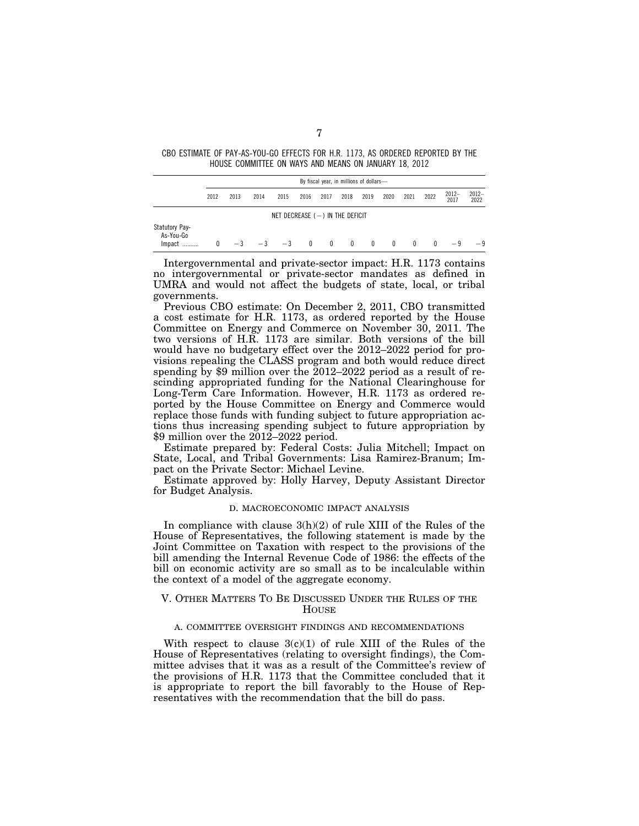CBO ESTIMATE OF PAY-AS-YOU-GO EFFECTS FOR H.R. 1173, AS ORDERED REPORTED BY THE HOUSE COMMITTEE ON WAYS AND MEANS ON JANUARY 18, 2012

|                                            | By fiscal year, in millions of dollars- |      |      |                                   |              |              |          |          |          |        |          |                 |                  |
|--------------------------------------------|-----------------------------------------|------|------|-----------------------------------|--------------|--------------|----------|----------|----------|--------|----------|-----------------|------------------|
|                                            | 2012                                    | 2013 | 2014 | 2015                              | 2016         | 2017         | 2018     | 2019     | 2020     | 2021   | 2022     | $2012-$<br>2017 | $2012 -$<br>2022 |
|                                            |                                         |      |      | NET DECREASE $(-)$ In the deficit |              |              |          |          |          |        |          |                 |                  |
| Statutory Pay-<br>As-You-Go<br>Impact<br>. |                                         | $-3$ | $-3$ | $-3$                              | $\mathbf{0}$ | $\mathbf{0}$ | $\Omega$ | $\theta$ | $\theta$ | $\Box$ | $\Omega$ |                 | — 9              |

Intergovernmental and private-sector impact: H.R. 1173 contains no intergovernmental or private-sector mandates as defined in UMRA and would not affect the budgets of state, local, or tribal governments.

Previous CBO estimate: On December 2, 2011, CBO transmitted a cost estimate for H.R. 1173, as ordered reported by the House Committee on Energy and Commerce on November 30, 2011. The two versions of H.R. 1173 are similar. Both versions of the bill would have no budgetary effect over the 2012–2022 period for provisions repealing the CLASS program and both would reduce direct spending by \$9 million over the 2012–2022 period as a result of rescinding appropriated funding for the National Clearinghouse for Long-Term Care Information. However, H.R. 1173 as ordered reported by the House Committee on Energy and Commerce would replace those funds with funding subject to future appropriation actions thus increasing spending subject to future appropriation by \$9 million over the 2012–2022 period.

Estimate prepared by: Federal Costs: Julia Mitchell; Impact on State, Local, and Tribal Governments: Lisa Ramirez-Branum; Impact on the Private Sector: Michael Levine.

Estimate approved by: Holly Harvey, Deputy Assistant Director for Budget Analysis.

#### D. MACROECONOMIC IMPACT ANALYSIS

In compliance with clause 3(h)(2) of rule XIII of the Rules of the House of Representatives, the following statement is made by the Joint Committee on Taxation with respect to the provisions of the bill amending the Internal Revenue Code of 1986: the effects of the bill on economic activity are so small as to be incalculable within the context of a model of the aggregate economy.

### V. OTHER MATTERS TO BE DISCUSSED UNDER THE RULES OF THE **HOUSE**

## A. COMMITTEE OVERSIGHT FINDINGS AND RECOMMENDATIONS

With respect to clause  $3(c)(1)$  of rule XIII of the Rules of the House of Representatives (relating to oversight findings), the Committee advises that it was as a result of the Committee's review of the provisions of H.R. 1173 that the Committee concluded that it is appropriate to report the bill favorably to the House of Representatives with the recommendation that the bill do pass.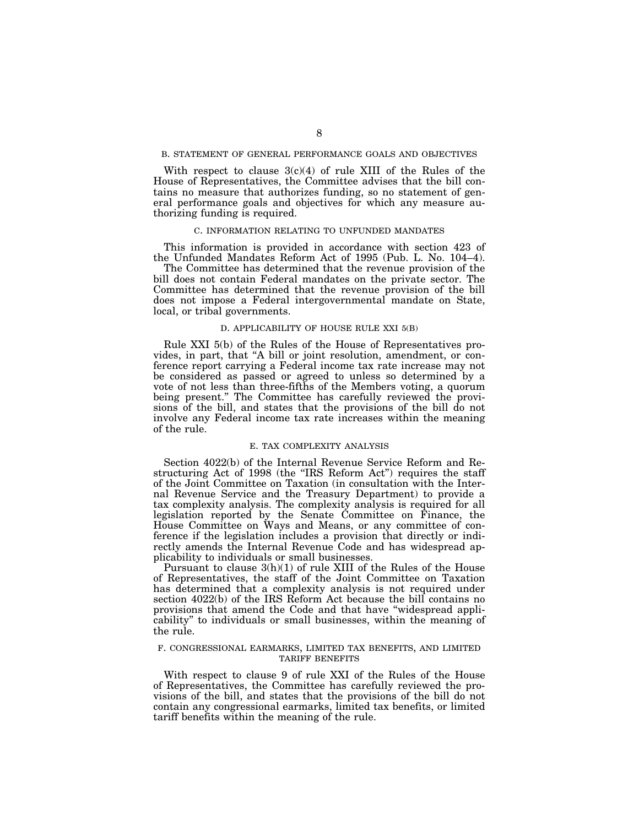## B. STATEMENT OF GENERAL PERFORMANCE GOALS AND OBJECTIVES

With respect to clause  $3(c)(4)$  of rule XIII of the Rules of the House of Representatives, the Committee advises that the bill contains no measure that authorizes funding, so no statement of general performance goals and objectives for which any measure authorizing funding is required.

#### C. INFORMATION RELATING TO UNFUNDED MANDATES

This information is provided in accordance with section 423 of the Unfunded Mandates Reform Act of 1995 (Pub. L. No. 104–4).

The Committee has determined that the revenue provision of the bill does not contain Federal mandates on the private sector. The Committee has determined that the revenue provision of the bill does not impose a Federal intergovernmental mandate on State, local, or tribal governments.

### D. APPLICABILITY OF HOUSE RULE XXI 5(B)

Rule XXI 5(b) of the Rules of the House of Representatives provides, in part, that ''A bill or joint resolution, amendment, or conference report carrying a Federal income tax rate increase may not be considered as passed or agreed to unless so determined by a vote of not less than three-fifths of the Members voting, a quorum being present.'' The Committee has carefully reviewed the provisions of the bill, and states that the provisions of the bill do not involve any Federal income tax rate increases within the meaning of the rule.

#### E. TAX COMPLEXITY ANALYSIS

Section 4022(b) of the Internal Revenue Service Reform and Restructuring Act of 1998 (the ''IRS Reform Act'') requires the staff of the Joint Committee on Taxation (in consultation with the Internal Revenue Service and the Treasury Department) to provide a tax complexity analysis. The complexity analysis is required for all legislation reported by the Senate Committee on Finance, the House Committee on Ways and Means, or any committee of conference if the legislation includes a provision that directly or indirectly amends the Internal Revenue Code and has widespread applicability to individuals or small businesses.

Pursuant to clause 3(h)(1) of rule XIII of the Rules of the House of Representatives, the staff of the Joint Committee on Taxation has determined that a complexity analysis is not required under section 4022(b) of the IRS Reform Act because the bill contains no provisions that amend the Code and that have ''widespread applicability'' to individuals or small businesses, within the meaning of the rule.

### F. CONGRESSIONAL EARMARKS, LIMITED TAX BENEFITS, AND LIMITED TARIFF BENEFITS

With respect to clause 9 of rule XXI of the Rules of the House of Representatives, the Committee has carefully reviewed the provisions of the bill, and states that the provisions of the bill do not contain any congressional earmarks, limited tax benefits, or limited tariff benefits within the meaning of the rule.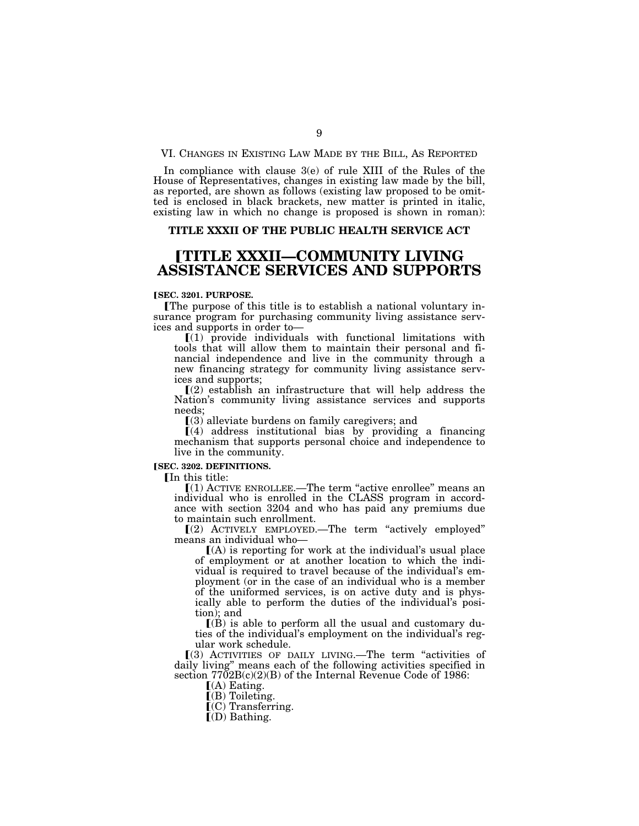VI. CHANGES IN EXISTING LAW MADE BY THE BILL, AS REPORTED

In compliance with clause 3(e) of rule XIII of the Rules of the House of Representatives, changes in existing law made by the bill, as reported, are shown as follows (existing law proposed to be omitted is enclosed in black brackets, new matter is printed in italic, existing law in which no change is proposed is shown in roman):

# **TITLE XXXII OF THE PUBLIC HEALTH SERVICE ACT**

# ø**TITLE XXXII—COMMUNITY LIVING ASSISTANCE SERVICES AND SUPPORTS**

#### ø**SEC. 3201. PURPOSE.**

The purpose of this title is to establish a national voluntary insurance program for purchasing community living assistance services and supports in order to—

 $[(1)$  provide individuals with functional limitations with tools that will allow them to maintain their personal and financial independence and live in the community through a new financing strategy for community living assistance services and supports;

 $(2)$  establish an infrastructure that will help address the Nation's community living assistance services and supports needs;

 $(3)$  alleviate burdens on family caregivers; and

 $(4)$  address institutional bias by providing a financing mechanism that supports personal choice and independence to live in the community.

#### **ISEC. 3202. DEFINITIONS.**

[In this title:

ø(1) ACTIVE ENROLLEE.—The term ''active enrollee'' means an individual who is enrolled in the CLASS program in accordance with section 3204 and who has paid any premiums due to maintain such enrollment.

ø(2) ACTIVELY EMPLOYED.—The term ''actively employed'' means an individual who—

 $(A)$  is reporting for work at the individual's usual place of employment or at another location to which the individual is required to travel because of the individual's employment (or in the case of an individual who is a member of the uniformed services, is on active duty and is physically able to perform the duties of the individual's position); and

 $(6)$  is able to perform all the usual and customary duties of the individual's employment on the individual's regular work schedule.

 $(3)$  ACTIVITIES OF DAILY LIVING.—The term "activities of daily living'' means each of the following activities specified in section 7702B(c)(2)(B) of the Internal Revenue Code of 1986:

 $(A)$  Eating.

 $\Gamma(B)$  Toileting.

 $\Gamma$ (C) Transferring.

 $[$ (D) Bathing.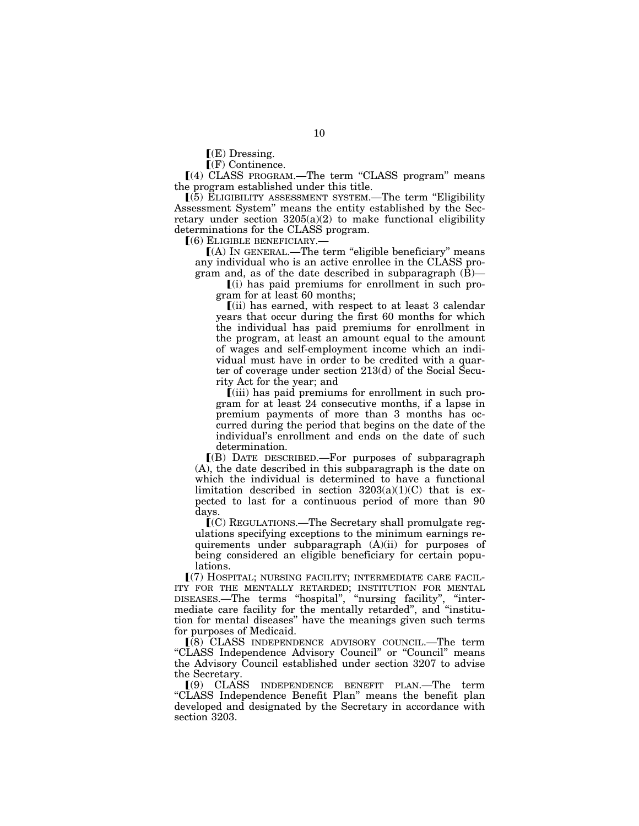$\Gamma(E)$  Dressing.

 $\Gamma$ (F) Continence.

 $(4)$  CLASS PROGRAM.—The term "CLASS program" means the program established under this title.

ø(5) ELIGIBILITY ASSESSMENT SYSTEM.—The term ''Eligibility Assessment System'' means the entity established by the Secretary under section  $3205(a)(2)$  to make functional eligibility determinations for the CLASS program.

ø(6) ELIGIBLE BENEFICIARY.—

ø(A) IN GENERAL.—The term ''eligible beneficiary'' means any individual who is an active enrollee in the CLASS program and, as of the date described in subparagraph (B)—

 $(i)$  has paid premiums for enrollment in such program for at least 60 months;

 $\lceil$ (ii) has earned, with respect to at least 3 calendar years that occur during the first 60 months for which the individual has paid premiums for enrollment in the program, at least an amount equal to the amount of wages and self-employment income which an individual must have in order to be credited with a quarter of coverage under section 213(d) of the Social Security Act for the year; and

ø(iii) has paid premiums for enrollment in such program for at least 24 consecutive months, if a lapse in premium payments of more than 3 months has occurred during the period that begins on the date of the individual's enrollment and ends on the date of such determination.

ø(B) DATE DESCRIBED.—For purposes of subparagraph (A), the date described in this subparagraph is the date on which the individual is determined to have a functional limitation described in section  $3203(a)(1)(C)$  that is expected to last for a continuous period of more than 90 days.

 $\mathcal{L}(\mathcal{C})$  REGULATIONS.—The Secretary shall promulgate regulations specifying exceptions to the minimum earnings requirements under subparagraph (A)(ii) for purposes of being considered an eligible beneficiary for certain populations.

ø(7) HOSPITAL; NURSING FACILITY; INTERMEDIATE CARE FACIL-ITY FOR THE MENTALLY RETARDED; INSTITUTION FOR MENTAL DISEASES.—The terms ''hospital'', ''nursing facility'', ''intermediate care facility for the mentally retarded'', and ''institution for mental diseases'' have the meanings given such terms for purposes of Medicaid.

ø(8) CLASS INDEPENDENCE ADVISORY COUNCIL.—The term "CLASS Independence Advisory Council" or "Council" means the Advisory Council established under section 3207 to advise the Secretary.

ø(9) CLASS INDEPENDENCE BENEFIT PLAN.—The term ''CLASS Independence Benefit Plan'' means the benefit plan developed and designated by the Secretary in accordance with section 3203.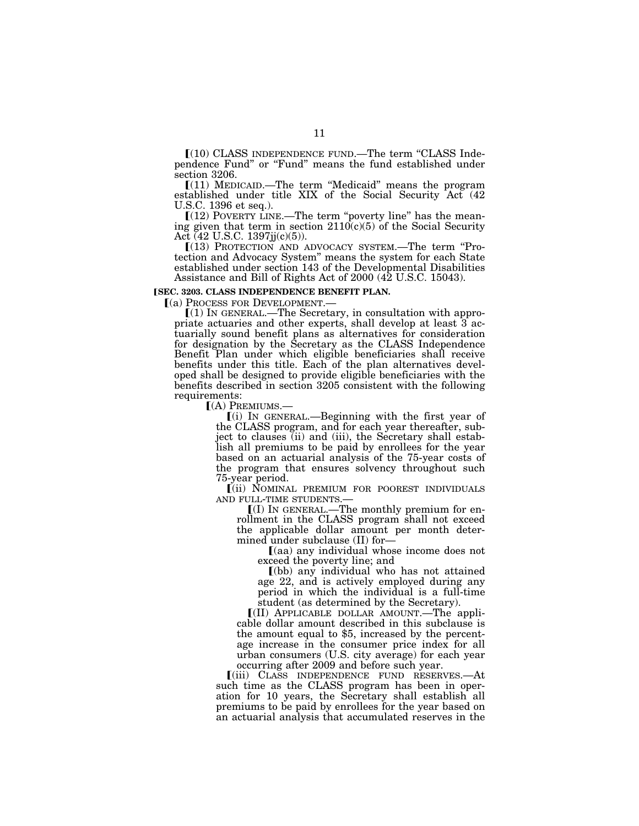ø(10) CLASS INDEPENDENCE FUND.—The term ''CLASS Independence Fund'' or ''Fund'' means the fund established under section 3206.

ø(11) MEDICAID.—The term ''Medicaid'' means the program established under title XIX of the Social Security Act (42 U.S.C. 1396 et seq.).

 $[(12)$  POVERTY LINE.—The term "poverty line" has the meaning given that term in section  $2110(c)(5)$  of the Social Security Act (42 U.S.C. 1397jj(c)(5)).

ø(13) PROTECTION AND ADVOCACY SYSTEM.—The term ''Protection and Advocacy System'' means the system for each State established under section 143 of the Developmental Disabilities Assistance and Bill of Rights Act of 2000 (42 U.S.C. 15043).

**[SEC. 3203. CLASS INDEPENDENCE BENEFIT PLAN.** 

 $(a)$  Process for Development.—<br> $(1)$  In General.—The Secretary, in consultation with appropriate actuaries and other experts, shall develop at least 3 actuarially sound benefit plans as alternatives for consideration for designation by the Secretary as the CLASS Independence Benefit Plan under which eligible beneficiaries shall receive benefits under this title. Each of the plan alternatives developed shall be designed to provide eligible beneficiaries with the benefits described in section 3205 consistent with the following requirements:<br>
[(A) PREMIUMS.—

 $(i)$  In GENERAL.—Beginning with the first year of the CLASS program, and for each year thereafter, subject to clauses (ii) and (iii), the Secretary shall establish all premiums to be paid by enrollees for the year based on an actuarial analysis of the 75-year costs of the program that ensures solvency throughout such 75-year period.

 $\acute{a}$ ii) NOMINAL PREMIUM FOR POOREST INDIVIDUALS AND FULL-TIME STUDENTS.—

 $\llbracket$ (I) In GENERAL.—The monthly premium for enrollment in the CLASS program shall not exceed the applicable dollar amount per month determined under subclause (II) for—

 $(aa)$  any individual whose income does not exceed the poverty line; and

 $(6b)$  any individual who has not attained age 22, and is actively employed during any period in which the individual is a full-time student (as determined by the Secretary).

ø(II) APPLICABLE DOLLAR AMOUNT.—The applicable dollar amount described in this subclause is the amount equal to \$5, increased by the percentage increase in the consumer price index for all urban consumers (U.S. city average) for each year occurring after 2009 and before such year.

ø(iii) CLASS INDEPENDENCE FUND RESERVES.—At such time as the CLASS program has been in operation for 10 years, the Secretary shall establish all premiums to be paid by enrollees for the year based on an actuarial analysis that accumulated reserves in the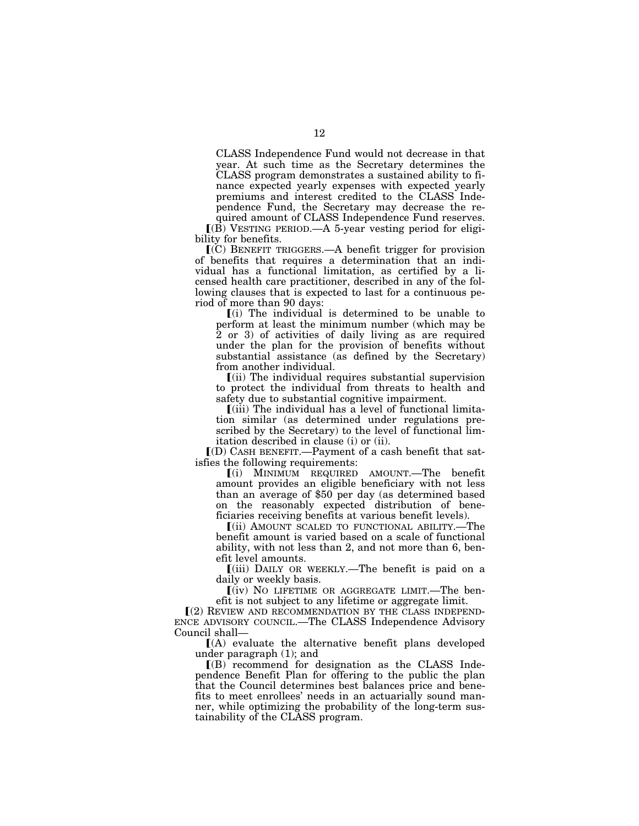CLASS Independence Fund would not decrease in that year. At such time as the Secretary determines the CLASS program demonstrates a sustained ability to finance expected yearly expenses with expected yearly premiums and interest credited to the CLASS Independence Fund, the Secretary may decrease the required amount of CLASS Independence Fund reserves.

 $I(B)$  VESTING PERIOD.—A 5-year vesting period for eligibility for benefits.

 $(C)$  BENEFIT TRIGGERS.—A benefit trigger for provision of benefits that requires a determination that an individual has a functional limitation, as certified by a licensed health care practitioner, described in any of the following clauses that is expected to last for a continuous period of more than 90 days:

 $(i)$  The individual is determined to be unable to perform at least the minimum number (which may be 2 or 3) of activities of daily living as are required under the plan for the provision of benefits without substantial assistance (as defined by the Secretary) from another individual.

ø(ii) The individual requires substantial supervision to protect the individual from threats to health and safety due to substantial cognitive impairment.

ø(iii) The individual has a level of functional limitation similar (as determined under regulations prescribed by the Secretary) to the level of functional limitation described in clause (i) or (ii).

 $I(D)$  CASH BENEFIT.—Payment of a cash benefit that satisfies the following requirements:

ø(i) MINIMUM REQUIRED AMOUNT.—The benefit amount provides an eligible beneficiary with not less than an average of \$50 per day (as determined based on the reasonably expected distribution of beneficiaries receiving benefits at various benefit levels).

ø(ii) AMOUNT SCALED TO FUNCTIONAL ABILITY.—The benefit amount is varied based on a scale of functional ability, with not less than 2, and not more than 6, benefit level amounts.

 $(iii)$  DAILY OR WEEKLY.—The benefit is paid on a daily or weekly basis.

 $(iv)$  No lifetime or aggregate limit.—The benefit is not subject to any lifetime or aggregate limit.

ø(2) REVIEW AND RECOMMENDATION BY THE CLASS INDEPEND-ENCE ADVISORY COUNCIL.—The CLASS Independence Advisory Council shall—

 $(A)$  evaluate the alternative benefit plans developed under paragraph (1); and

 $[(B)$  recommend for designation as the CLASS Independence Benefit Plan for offering to the public the plan that the Council determines best balances price and benefits to meet enrollees' needs in an actuarially sound manner, while optimizing the probability of the long-term sustainability of the CLASS program.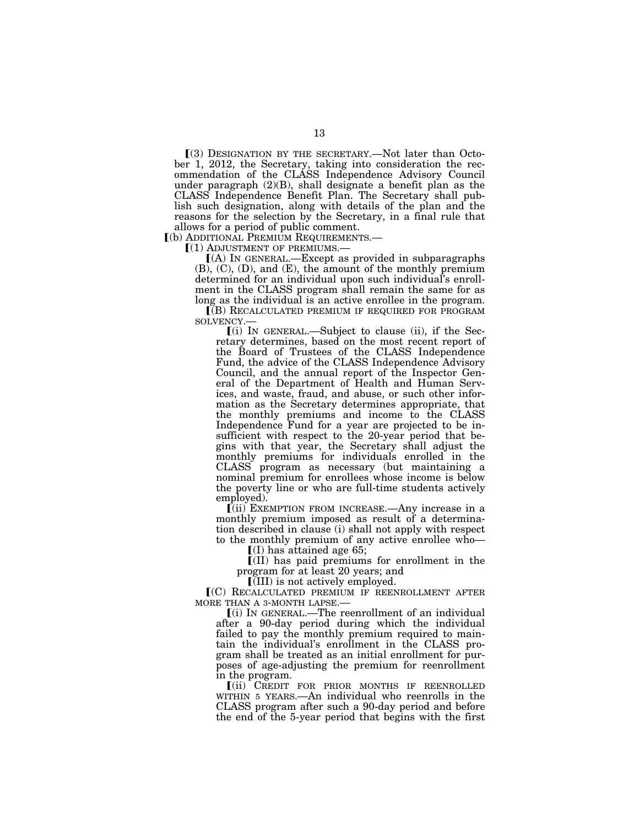$(3)$  DESIGNATION BY THE SECRETARY.—Not later than October 1, 2012, the Secretary, taking into consideration the recommendation of the CLASS Independence Advisory Council under paragraph  $(2)(B)$ , shall designate a benefit plan as the CLASS Independence Benefit Plan. The Secretary shall publish such designation, along with details of the plan and the reasons for the selection by the Secretary, in a final rule that

allows for a period of public comment.<br>
[(b) ADDITIONAL PREMIUM REQUIREMENTS.—

 $\lbrack (b)$  ADDITIONAL PREMIUM REQUIREMENTS.—<br> $\lbrack (1)$  ADJUSTMENT OF PREMIUMS.—<br> $\lbrack (A)$  IN GENERAL.—Except as provided in subparagraphs (B), (C), (D), and (E), the amount of the monthly premium determined for an individual upon such individual's enrollment in the CLASS program shall remain the same for as long as the individual is an active enrollee in the program.

ø(B) RECALCULATED PREMIUM IF REQUIRED FOR PROGRAM SOLVENCY.—<br>
[(i) IN GENERAL.—Subject to clause (ii), if the Sec-

retary determines, based on the most recent report of the Board of Trustees of the CLASS Independence Fund, the advice of the CLASS Independence Advisory Council, and the annual report of the Inspector General of the Department of Health and Human Services, and waste, fraud, and abuse, or such other information as the Secretary determines appropriate, that the monthly premiums and income to the CLASS Independence Fund for a year are projected to be insufficient with respect to the 20-year period that begins with that year, the Secretary shall adjust the monthly premiums for individuals enrolled in the CLASS program as necessary (but maintaining a nominal premium for enrollees whose income is below the poverty line or who are full-time students actively employed).

 $(iii)$  EXEMPTION FROM INCREASE.—Any increase in a monthly premium imposed as result of a determination described in clause (i) shall not apply with respect to the monthly premium of any active enrollee who—

 $\left[$ (I) has attained age 65;

ø(II) has paid premiums for enrollment in the program for at least 20 years; and

 $\overline{[1]}$  is not actively employed.

ø(C) RECALCULATED PREMIUM IF REENROLLMENT AFTER MORE THAN A 3-MONTH LAPSE.—

ø(i) IN GENERAL.—The reenrollment of an individual after a 90-day period during which the individual failed to pay the monthly premium required to maintain the individual's enrollment in the CLASS program shall be treated as an initial enrollment for purposes of age-adjusting the premium for reenrollment in the program.

ø(ii) CREDIT FOR PRIOR MONTHS IF REENROLLED WITHIN 5 YEARS.—An individual who reenrolls in the CLASS program after such a 90-day period and before the end of the 5-year period that begins with the first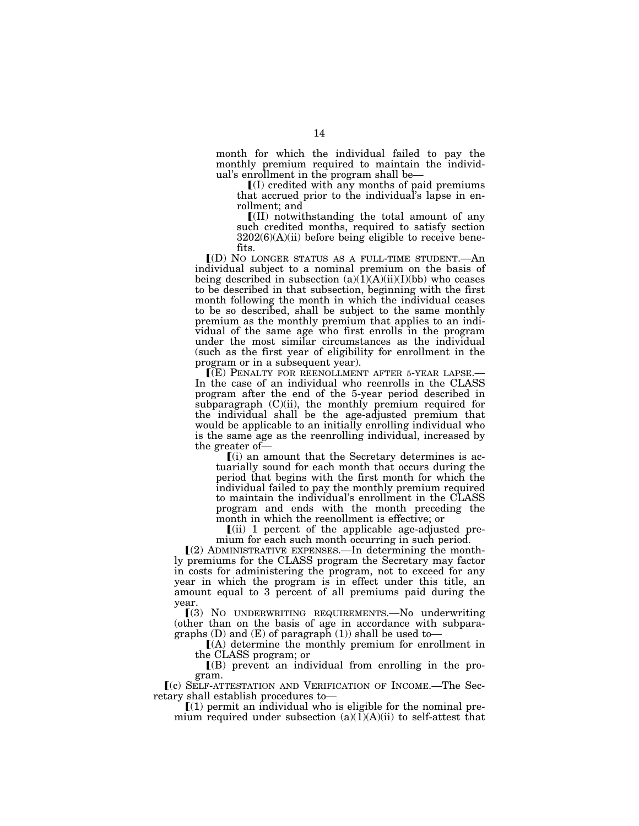month for which the individual failed to pay the monthly premium required to maintain the individual's enrollment in the program shall be—

 $\left[$ (I) credited with any months of paid premiums that accrued prior to the individual's lapse in enrollment; and

 $\overline{I(II)}$  notwithstanding the total amount of any such credited months, required to satisfy section  $3202(6)(A)(ii)$  before being eligible to receive benefits.

 $I(D)$  No longer status as a full-time student.—An individual subject to a nominal premium on the basis of being described in subsection  $(a)(1)(A)(ii)(I)(bb)$  who ceases to be described in that subsection, beginning with the first month following the month in which the individual ceases to be so described, shall be subject to the same monthly premium as the monthly premium that applies to an individual of the same age who first enrolls in the program under the most similar circumstances as the individual (such as the first year of eligibility for enrollment in the program or in a subsequent year).<br>
[(E) PENALTY FOR REENOLLMENT AFTER 5-YEAR LAPSE.

In the case of an individual who reenrolls in the CLASS program after the end of the 5-year period described in subparagraph (C)(ii), the monthly premium required for the individual shall be the age-adjusted premium that would be applicable to an initially enrolling individual who is the same age as the reenrolling individual, increased by the greater of—

 $(i)$  an amount that the Secretary determines is actuarially sound for each month that occurs during the period that begins with the first month for which the individual failed to pay the monthly premium required to maintain the individual's enrollment in the CLASS program and ends with the month preceding the month in which the reenollment is effective; or

 $(iii)$  1 percent of the applicable age-adjusted premium for each such month occurring in such period.

 $(2)$  ADMINISTRATIVE EXPENSES.—In determining the monthly premiums for the CLASS program the Secretary may factor in costs for administering the program, not to exceed for any year in which the program is in effect under this title, an amount equal to 3 percent of all premiums paid during the year.

ø(3) NO UNDERWRITING REQUIREMENTS.—No underwriting (other than on the basis of age in accordance with subparagraphs  $(D)$  and  $(E)$  of paragraph  $(1)$ ) shall be used to-

 $(A)$  determine the monthly premium for enrollment in the CLASS program; or

 $I(B)$  prevent an individual from enrolling in the program.

ø(c) SELF-ATTESTATION AND VERIFICATION OF INCOME.—The Secretary shall establish procedures to—

 $\mathcal{L}(1)$  permit an individual who is eligible for the nominal premium required under subsection  $(a)(1)(A)(ii)$  to self-attest that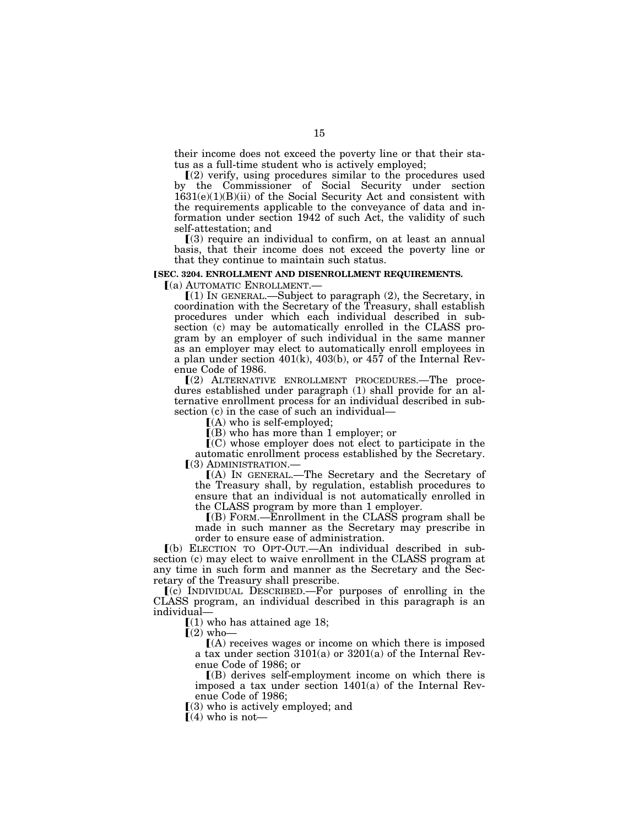their income does not exceed the poverty line or that their status as a full-time student who is actively employed;

 $(2)$  verify, using procedures similar to the procedures used by the Commissioner of Social Security under section 1631(e)(1)(B)(ii) of the Social Security Act and consistent with the requirements applicable to the conveyance of data and information under section 1942 of such Act, the validity of such self-attestation; and

 $(3)$  require an individual to confirm, on at least an annual basis, that their income does not exceed the poverty line or that they continue to maintain such status.

**[SEC. 3204. ENROLLMENT AND DISENROLLMENT REQUIREMENTS.** ø(a) AUTOMATIC ENROLLMENT.—

 $(1)$  In GENERAL.—Subject to paragraph  $(2)$ , the Secretary, in

coordination with the Secretary of the Treasury, shall establish procedures under which each individual described in subsection (c) may be automatically enrolled in the CLASS program by an employer of such individual in the same manner as an employer may elect to automatically enroll employees in a plan under section 401(k), 403(b), or 457 of the Internal Revenue Code of 1986.

 $(2)$  ALTERNATIVE ENROLLMENT PROCEDURES.—The procedures established under paragraph (1) shall provide for an alternative enrollment process for an individual described in subsection (c) in the case of such an individual—

 $(A)$  who is self-employed;

 $($ B) who has more than 1 employer; or

 $\mathcal{I}(C)$  whose employer does not elect to participate in the automatic enrollment process established by the Secretary. ø(3) ADMINISTRATION.—

ø(A) IN GENERAL.—The Secretary and the Secretary of the Treasury shall, by regulation, establish procedures to ensure that an individual is not automatically enrolled in the CLASS program by more than 1 employer.

ø(B) FORM.—Enrollment in the CLASS program shall be made in such manner as the Secretary may prescribe in order to ensure ease of administration.

ø(b) ELECTION TO OPT-OUT.—An individual described in subsection (c) may elect to waive enrollment in the CLASS program at any time in such form and manner as the Secretary and the Secretary of the Treasury shall prescribe.

ø(c) INDIVIDUAL DESCRIBED.—For purposes of enrolling in the CLASS program, an individual described in this paragraph is an individual—

 $(1)$  who has attained age 18;

 $\Gamma(2)$  who—

 $(A)$  receives wages or income on which there is imposed a tax under section 3101(a) or 3201(a) of the Internal Revenue Code of 1986; or

 $\Gamma(B)$  derives self-employment income on which there is imposed a tax under section 1401(a) of the Internal Revenue Code of 1986;

 $(3)$  who is actively employed; and

 $(4)$  who is not-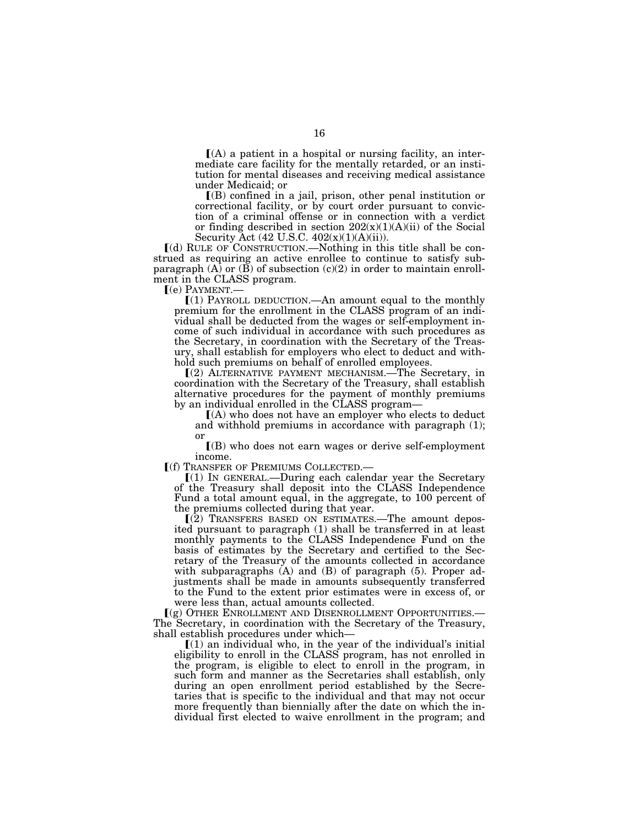$\mathbf{I}(A)$  a patient in a hospital or nursing facility, an intermediate care facility for the mentally retarded, or an institution for mental diseases and receiving medical assistance under Medicaid; or

 $[(B)$  confined in a jail, prison, other penal institution or correctional facility, or by court order pursuant to conviction of a criminal offense or in connection with a verdict or finding described in section  $202(x)(1)(A)(ii)$  of the Social Security Act (42 U.S.C.  $402(x)(1)(A)(ii)$ ).

 $\lceil$ (d) RULE OF CONSTRUCTION.—Nothing in this title shall be construed as requiring an active enrollee to continue to satisfy subparagraph (A) or (B) of subsection (c)(2) in order to maintain enrollment in the CLASS program.

 $\lbrack (e)$  PAYMENT.—<br> $\lbrack (1)$  PAYROLL DEDUCTION.—An amount equal to the monthly premium for the enrollment in the CLASS program of an individual shall be deducted from the wages or self-employment income of such individual in accordance with such procedures as the Secretary, in coordination with the Secretary of the Treasury, shall establish for employers who elect to deduct and withhold such premiums on behalf of enrolled employees.

ø(2) ALTERNATIVE PAYMENT MECHANISM.—The Secretary, in coordination with the Secretary of the Treasury, shall establish alternative procedures for the payment of monthly premiums by an individual enrolled in the CLASS program—

 $(A)$  who does not have an employer who elects to deduct and withhold premiums in accordance with paragraph (1); or

 $($ B) who does not earn wages or derive self-employment income.<br> **[(f)** TRANSFER OF PREMIUMS COLLECTED.—

 $[(1)$  IN GENERAL.—During each calendar year the Secretary of the Treasury shall deposit into the CLASS Independence Fund a total amount equal, in the aggregate, to 100 percent of the premiums collected during that year.

 $(2)$  TRANSFERS BASED ON ESTIMATES.—The amount deposited pursuant to paragraph (1) shall be transferred in at least monthly payments to the CLASS Independence Fund on the basis of estimates by the Secretary and certified to the Secretary of the Treasury of the amounts collected in accordance with subparagraphs (A) and (B) of paragraph (5). Proper adjustments shall be made in amounts subsequently transferred to the Fund to the extent prior estimates were in excess of, or were less than, actual amounts collected.

ø(g) OTHER ENROLLMENT AND DISENROLLMENT OPPORTUNITIES.— The Secretary, in coordination with the Secretary of the Treasury, shall establish procedures under which—

 $[(1)$  an individual who, in the year of the individual's initial eligibility to enroll in the CLASS program, has not enrolled in the program, is eligible to elect to enroll in the program, in such form and manner as the Secretaries shall establish, only during an open enrollment period established by the Secretaries that is specific to the individual and that may not occur more frequently than biennially after the date on which the individual first elected to waive enrollment in the program; and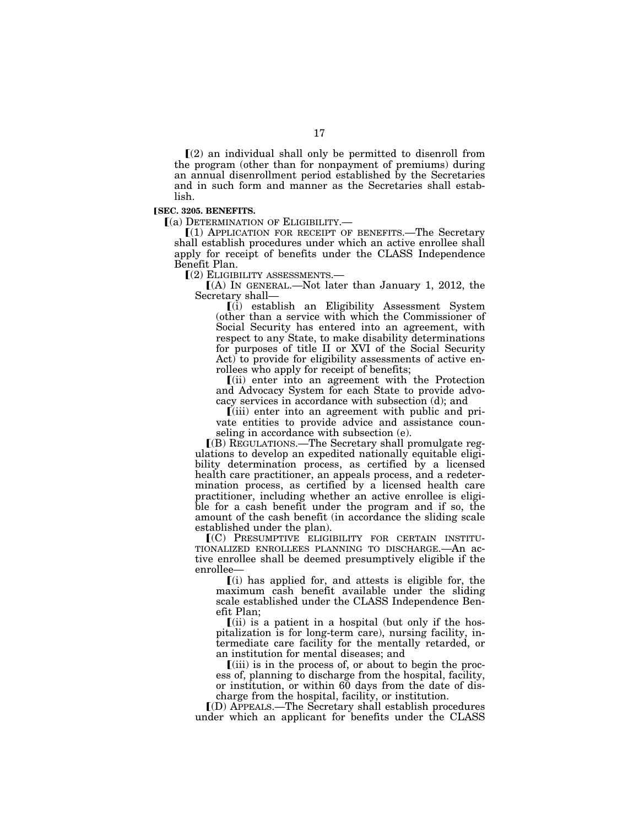$\Gamma(2)$  an individual shall only be permitted to disenroll from the program (other than for nonpayment of premiums) during an annual disenrollment period established by the Secretaries and in such form and manner as the Secretaries shall establish.

#### ø**SEC. 3205. BENEFITS.**

 $(a)$  DETERMINATION OF ELIGIBILITY.—

ø(1) APPLICATION FOR RECEIPT OF BENEFITS.—The Secretary shall establish procedures under which an active enrollee shall apply for receipt of benefits under the CLASS Independence Benefit Plan.

ø(2) ELIGIBILITY ASSESSMENTS.—

 $(A)$  IN GENERAL.—Not later than January 1, 2012, the Secretary shall—

 $(i)$  establish an Eligibility Assessment System (other than a service with which the Commissioner of Social Security has entered into an agreement, with respect to any State, to make disability determinations for purposes of title II or XVI of the Social Security Act) to provide for eligibility assessments of active enrollees who apply for receipt of benefits;

 $\lceil$ (ii) enter into an agreement with the Protection and Advocacy System for each State to provide advocacy services in accordance with subsection (d); and

 $\lim_{\alpha \to 0}$  enter into an agreement with public and private entities to provide advice and assistance counseling in accordance with subsection (e).

ø(B) REGULATIONS.—The Secretary shall promulgate regulations to develop an expedited nationally equitable eligibility determination process, as certified by a licensed health care practitioner, an appeals process, and a redetermination process, as certified by a licensed health care practitioner, including whether an active enrollee is eligible for a cash benefit under the program and if so, the amount of the cash benefit (in accordance the sliding scale established under the plan).

ø(C) PRESUMPTIVE ELIGIBILITY FOR CERTAIN INSTITU-TIONALIZED ENROLLEES PLANNING TO DISCHARGE.—An active enrollee shall be deemed presumptively eligible if the enrollee—

 $(i)$  has applied for, and attests is eligible for, the maximum cash benefit available under the sliding scale established under the CLASS Independence Benefit Plan;

 $\left[$ (ii) is a patient in a hospital (but only if the hospitalization is for long-term care), nursing facility, intermediate care facility for the mentally retarded, or an institution for mental diseases; and

 $\left[$ (iii) is in the process of, or about to begin the process of, planning to discharge from the hospital, facility, or institution, or within 60 days from the date of discharge from the hospital, facility, or institution.

ø(D) APPEALS.—The Secretary shall establish procedures under which an applicant for benefits under the CLASS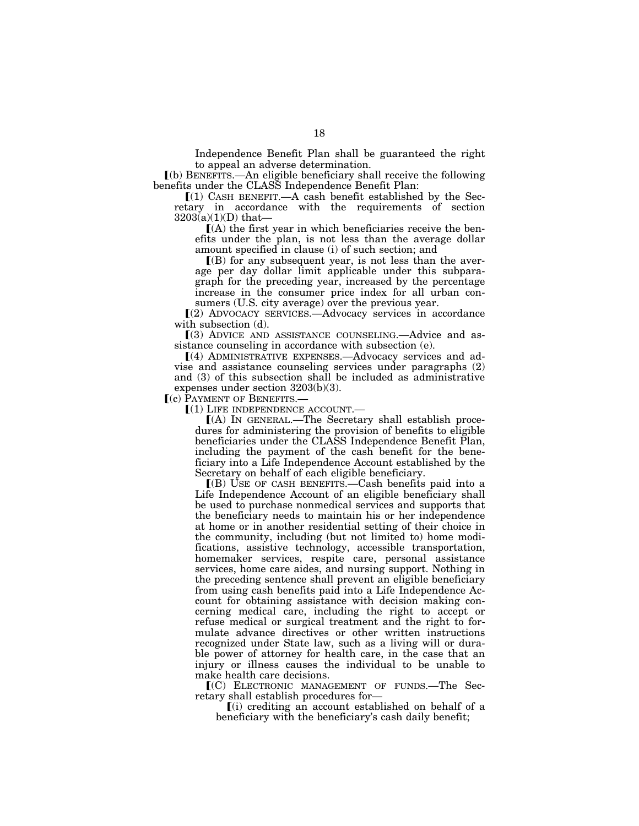Independence Benefit Plan shall be guaranteed the right to appeal an adverse determination.

ø(b) BENEFITS.—An eligible beneficiary shall receive the following benefits under the CLASS Independence Benefit Plan:

 $(1)$  CASH BENEFIT.—A cash benefit established by the Secretary in accordance with the requirements of section  $3203(a)(1)(D)$  that-

 $[(A)$  the first year in which beneficiaries receive the benefits under the plan, is not less than the average dollar amount specified in clause (i) of such section; and

 $($ B) for any subsequent year, is not less than the average per day dollar limit applicable under this subparagraph for the preceding year, increased by the percentage increase in the consumer price index for all urban consumers (U.S. city average) over the previous year.

 $(2)$  ADVOCACY SERVICES.—Advocacy services in accordance with subsection (d).

ø(3) ADVICE AND ASSISTANCE COUNSELING.—Advice and assistance counseling in accordance with subsection (e).

ø(4) ADMINISTRATIVE EXPENSES.—Advocacy services and advise and assistance counseling services under paragraphs (2) and (3) of this subsection shall be included as administrative expenses under section 3203(b)(3).

 $(c)$  Payment of Benefits.

 $(1)$  LIFE INDEPENDENCE ACCOUNT.—

ø(A) IN GENERAL.—The Secretary shall establish procedures for administering the provision of benefits to eligible beneficiaries under the CLASS Independence Benefit Plan, including the payment of the cash benefit for the beneficiary into a Life Independence Account established by the Secretary on behalf of each eligible beneficiary.

 $($ B) USE OF CASH BENEFITS.—Cash benefits paid into a Life Independence Account of an eligible beneficiary shall be used to purchase nonmedical services and supports that the beneficiary needs to maintain his or her independence at home or in another residential setting of their choice in the community, including (but not limited to) home modifications, assistive technology, accessible transportation, homemaker services, respite care, personal assistance services, home care aides, and nursing support. Nothing in the preceding sentence shall prevent an eligible beneficiary from using cash benefits paid into a Life Independence Account for obtaining assistance with decision making concerning medical care, including the right to accept or refuse medical or surgical treatment and the right to formulate advance directives or other written instructions recognized under State law, such as a living will or durable power of attorney for health care, in the case that an injury or illness causes the individual to be unable to make health care decisions.

ø(C) ELECTRONIC MANAGEMENT OF FUNDS.—The Secretary shall establish procedures for—

 $(i)$  crediting an account established on behalf of a beneficiary with the beneficiary's cash daily benefit;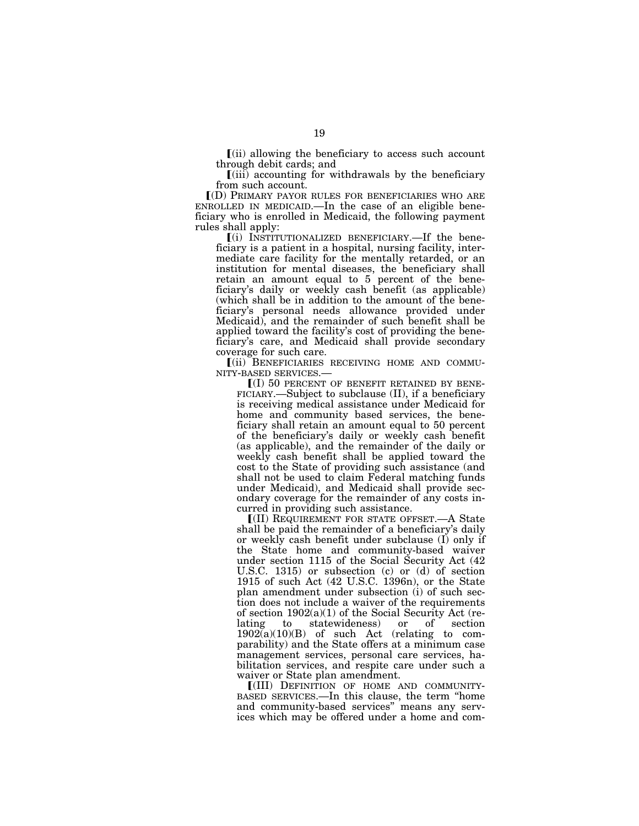$\left[$ (ii) allowing the beneficiary to access such account through debit cards; and

 $\lim_{\alpha \to 0}$  accounting for withdrawals by the beneficiary from such account.

ø(D) PRIMARY PAYOR RULES FOR BENEFICIARIES WHO ARE ENROLLED IN MEDICAID.—In the case of an eligible beneficiary who is enrolled in Medicaid, the following payment rules shall apply:

 $(i)$  INSTITUTIONALIZED BENEFICIARY.—If the beneficiary is a patient in a hospital, nursing facility, intermediate care facility for the mentally retarded, or an institution for mental diseases, the beneficiary shall retain an amount equal to 5 percent of the beneficiary's daily or weekly cash benefit (as applicable) (which shall be in addition to the amount of the beneficiary's personal needs allowance provided under Medicaid), and the remainder of such benefit shall be applied toward the facility's cost of providing the beneficiary's care, and Medicaid shall provide secondary coverage for such care.

(ii) BENEFICIARIES RECEIVING HOME AND COMMUNITY-BASED SERVICES.—<br> $[(I) 50$  PERCENT OF BENEFIT RETAINED BY BENE-<br>FICIARY.—Subject to subclause (II), if a beneficiary

is receiving medical assistance under Medicaid for home and community based services, the beneficiary shall retain an amount equal to 50 percent of the beneficiary's daily or weekly cash benefit (as applicable), and the remainder of the daily or weekly cash benefit shall be applied toward the cost to the State of providing such assistance (and shall not be used to claim Federal matching funds under Medicaid), and Medicaid shall provide secondary coverage for the remainder of any costs incurred in providing such assistance.

ø(II) REQUIREMENT FOR STATE OFFSET.—A State shall be paid the remainder of a beneficiary's daily or weekly cash benefit under subclause (I) only if the State home and community-based waiver under section 1115 of the Social Security Act (42 U.S.C. 1315) or subsection (c) or (d) of section 1915 of such Act (42 U.S.C. 1396n), or the State plan amendment under subsection (i) of such section does not include a waiver of the requirements of section  $1902(a)(1)$  of the Social Security Act (re-<br>lating to statewideness) or of section lating to statewideness) or of section  $1902(a)(10)(B)$  of such Act (relating to comparability) and the State offers at a minimum case management services, personal care services, habilitation services, and respite care under such a waiver or State plan amendment.

<sup>ø</sup>(III) DEFINITION OF HOME AND COMMUNITY- BASED SERVICES.—In this clause, the term ''home and community-based services'' means any services which may be offered under a home and com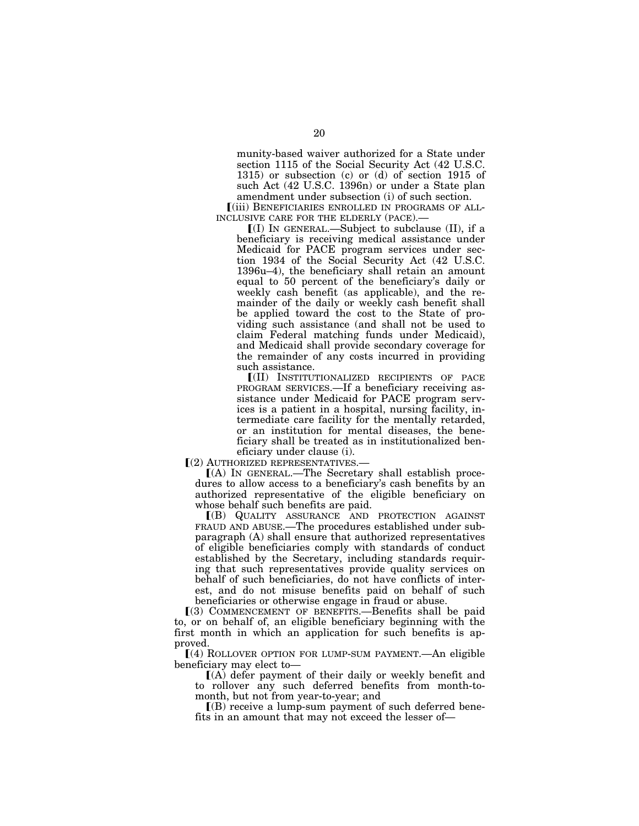munity-based waiver authorized for a State under section 1115 of the Social Security Act (42 U.S.C. 1315) or subsection (c) or (d) of section 1915 of such Act (42 U.S.C. 1396n) or under a State plan amendment under subsection (i) of such section.

ø(iii) BENEFICIARIES ENROLLED IN PROGRAMS OF ALL-INCLUSIVE CARE FOR THE ELDERLY (PACE).—

 $\left[$ (I) In GENERAL.—Subject to subclause (II), if a beneficiary is receiving medical assistance under Medicaid for PACE program services under section 1934 of the Social Security Act (42 U.S.C. 1396u–4), the beneficiary shall retain an amount equal to 50 percent of the beneficiary's daily or weekly cash benefit (as applicable), and the remainder of the daily or weekly cash benefit shall be applied toward the cost to the State of providing such assistance (and shall not be used to claim Federal matching funds under Medicaid), and Medicaid shall provide secondary coverage for the remainder of any costs incurred in providing such assistance.

ø(II) INSTITUTIONALIZED RECIPIENTS OF PACE PROGRAM SERVICES.—If a beneficiary receiving assistance under Medicaid for PACE program services is a patient in a hospital, nursing facility, intermediate care facility for the mentally retarded, or an institution for mental diseases, the beneficiary shall be treated as in institutionalized beneficiary under clause (i).

ø(2) AUTHORIZED REPRESENTATIVES.—

ø(A) IN GENERAL.—The Secretary shall establish procedures to allow access to a beneficiary's cash benefits by an authorized representative of the eligible beneficiary on whose behalf such benefits are paid.

ø(B) QUALITY ASSURANCE AND PROTECTION AGAINST FRAUD AND ABUSE.—The procedures established under subparagraph (A) shall ensure that authorized representatives of eligible beneficiaries comply with standards of conduct established by the Secretary, including standards requiring that such representatives provide quality services on behalf of such beneficiaries, do not have conflicts of interest, and do not misuse benefits paid on behalf of such beneficiaries or otherwise engage in fraud or abuse.

ø(3) COMMENCEMENT OF BENEFITS.—Benefits shall be paid to, or on behalf of, an eligible beneficiary beginning with the first month in which an application for such benefits is approved.

ø(4) ROLLOVER OPTION FOR LUMP-SUM PAYMENT.—An eligible beneficiary may elect to—

 $[(A)$  defer payment of their daily or weekly benefit and to rollover any such deferred benefits from month-tomonth, but not from year-to-year; and

 $\mathcal{L}(B)$  receive a lump-sum payment of such deferred benefits in an amount that may not exceed the lesser of—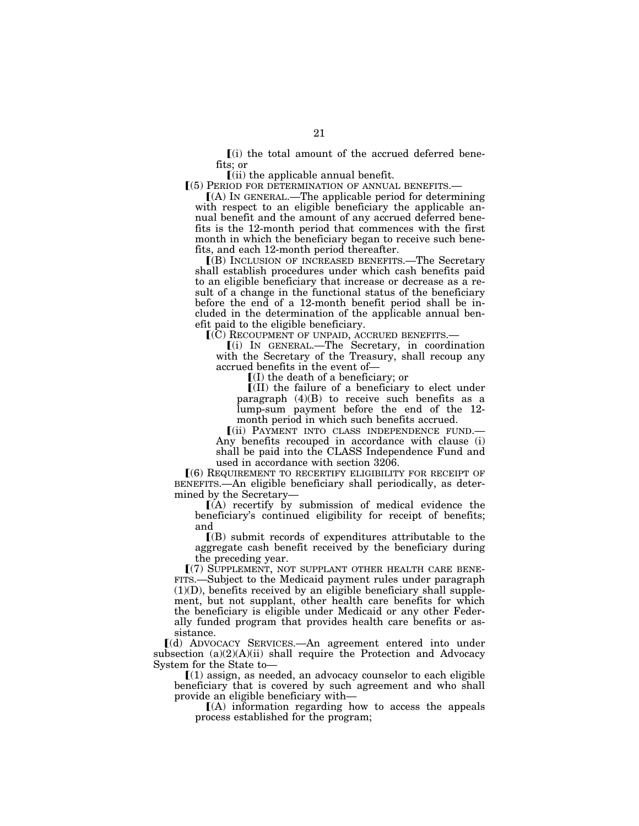$\lceil$ (i) the total amount of the accrued deferred benefits; or

 $(iii)$  the applicable annual benefit.

ø(5) PERIOD FOR DETERMINATION OF ANNUAL BENEFITS.—

ø(A) IN GENERAL.—The applicable period for determining with respect to an eligible beneficiary the applicable annual benefit and the amount of any accrued deferred benefits is the 12-month period that commences with the first month in which the beneficiary began to receive such benefits, and each 12-month period thereafter.

ø(B) INCLUSION OF INCREASED BENEFITS.—The Secretary shall establish procedures under which cash benefits paid to an eligible beneficiary that increase or decrease as a result of a change in the functional status of the beneficiary before the end of a 12-month benefit period shall be included in the determination of the applicable annual benefit paid to the eligible beneficiary.

ø(C) RECOUPMENT OF UNPAID, ACCRUED BENEFITS.—

ø(i) IN GENERAL.—The Secretary, in coordination with the Secretary of the Treasury, shall recoup any accrued benefits in the event of—

 $\P$ (I) the death of a beneficiary; or

 $\llbracket$ (II) the failure of a beneficiary to elect under paragraph  $(4)(B)$  to receive such benefits as a lump-sum payment before the end of the 12 month period in which such benefits accrued.

ø(ii) PAYMENT INTO CLASS INDEPENDENCE FUND.— Any benefits recouped in accordance with clause (i) shall be paid into the CLASS Independence Fund and used in accordance with section 3206.

 $(6)$  REQUIREMENT TO RECERTIFY ELIGIBILITY FOR RECEIPT OF BENEFITS.—An eligible beneficiary shall periodically, as determined by the Secretary—

 $(A)$  recertify by submission of medical evidence the beneficiary's continued eligibility for receipt of benefits; and

 $\Gamma(B)$  submit records of expenditures attributable to the aggregate cash benefit received by the beneficiary during the preceding year.

ø(7) SUPPLEMENT, NOT SUPPLANT OTHER HEALTH CARE BENE-FITS.—Subject to the Medicaid payment rules under paragraph (1)(D), benefits received by an eligible beneficiary shall supplement, but not supplant, other health care benefits for which the beneficiary is eligible under Medicaid or any other Federally funded program that provides health care benefits or assistance.

ø(d) ADVOCACY SERVICES.—An agreement entered into under subsection  $(a)(2)(A)(ii)$  shall require the Protection and Advocacy System for the State to—

 $(1)$  assign, as needed, an advocacy counselor to each eligible beneficiary that is covered by such agreement and who shall provide an eligible beneficiary with—

 $(A)$  information regarding how to access the appeals process established for the program;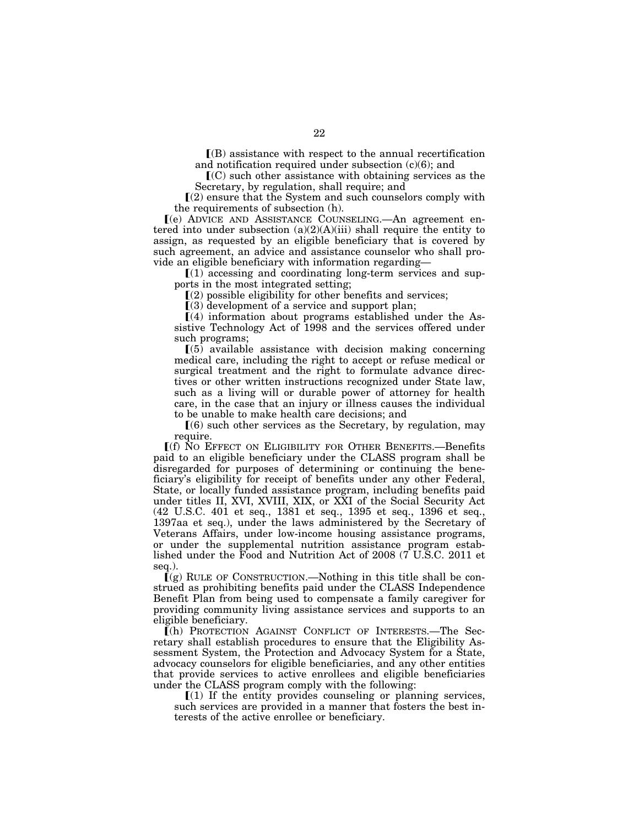$\Gamma(B)$  assistance with respect to the annual recertification and notification required under subsection (c)(6); and

 $\mathcal{I}(C)$  such other assistance with obtaining services as the Secretary, by regulation, shall require; and

 $\Gamma(2)$  ensure that the System and such counselors comply with the requirements of subsection (h).

ø(e) ADVICE AND ASSISTANCE COUNSELING.—An agreement entered into under subsection  $(a)(2)(A)(iii)$  shall require the entity to assign, as requested by an eligible beneficiary that is covered by such agreement, an advice and assistance counselor who shall provide an eligible beneficiary with information regarding—

 $(1)$  accessing and coordinating long-term services and supports in the most integrated setting;

 $(2)$  possible eligibility for other benefits and services;

 $(3)$  development of a service and support plan;

 $(4)$  information about programs established under the Assistive Technology Act of 1998 and the services offered under such programs;

 $(5)$  available assistance with decision making concerning medical care, including the right to accept or refuse medical or surgical treatment and the right to formulate advance directives or other written instructions recognized under State law, such as a living will or durable power of attorney for health care, in the case that an injury or illness causes the individual to be unable to make health care decisions; and

 $(6)$  such other services as the Secretary, by regulation, may require.

ø(f) NO EFFECT ON ELIGIBILITY FOR OTHER BENEFITS.—Benefits paid to an eligible beneficiary under the CLASS program shall be disregarded for purposes of determining or continuing the beneficiary's eligibility for receipt of benefits under any other Federal, State, or locally funded assistance program, including benefits paid under titles II, XVI, XVIII, XIX, or XXI of the Social Security Act (42 U.S.C. 401 et seq., 1381 et seq., 1395 et seq., 1396 et seq., 1397aa et seq.), under the laws administered by the Secretary of Veterans Affairs, under low-income housing assistance programs, or under the supplemental nutrition assistance program established under the Food and Nutrition Act of  $2008$  (7 U.S.C. 2011 et seq.).

 $(q)$  RULE OF CONSTRUCTION.—Nothing in this title shall be construed as prohibiting benefits paid under the CLASS Independence Benefit Plan from being used to compensate a family caregiver for providing community living assistance services and supports to an eligible beneficiary.

ø(h) PROTECTION AGAINST CONFLICT OF INTERESTS.—The Secretary shall establish procedures to ensure that the Eligibility Assessment System, the Protection and Advocacy System for a State, advocacy counselors for eligible beneficiaries, and any other entities that provide services to active enrollees and eligible beneficiaries under the CLASS program comply with the following:

 $\llbracket$ (1) If the entity provides counseling or planning services, such services are provided in a manner that fosters the best interests of the active enrollee or beneficiary.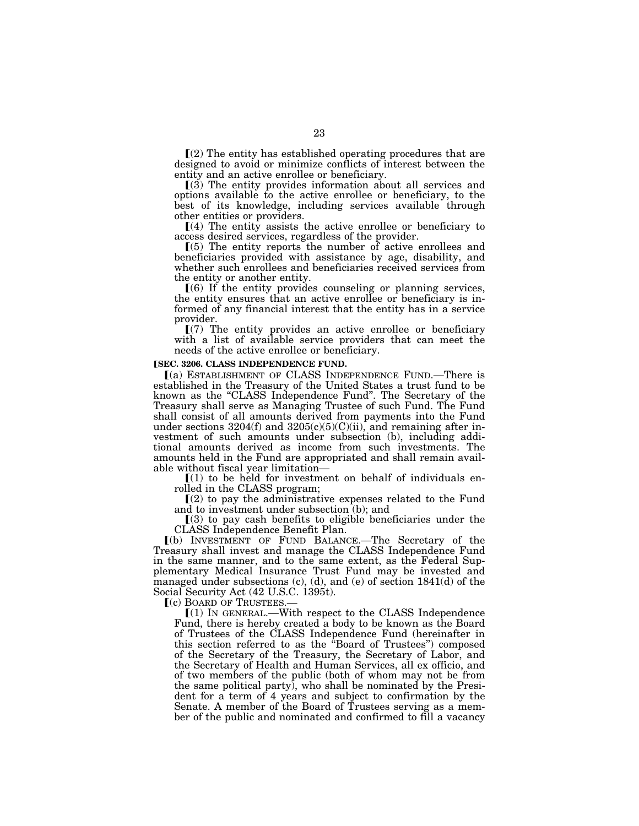$\Gamma(2)$  The entity has established operating procedures that are designed to avoid or minimize conflicts of interest between the entity and an active enrollee or beneficiary.

 $(3)$  The entity provides information about all services and options available to the active enrollee or beneficiary, to the best of its knowledge, including services available through other entities or providers.

 $(a)$  The entity assists the active enrollee or beneficiary to

access desired services, regardless of the provider.<br>
[(5) The entity reports the number of active enrollees and beneficiaries provided with assistance by age, disability, and whether such enrollees and beneficiaries received services from the entity or another entity.

 $(6)$  If the entity provides counseling or planning services, the entity ensures that an active enrollee or beneficiary is informed of any financial interest that the entity has in a service provider.

 $[(7)$  The entity provides an active enrollee or beneficiary with a list of available service providers that can meet the needs of the active enrollee or beneficiary.

#### **ISEC. 3206. CLASS INDEPENDENCE FUND.**

ø(a) ESTABLISHMENT OF CLASS INDEPENDENCE FUND.—There is established in the Treasury of the United States a trust fund to be known as the ''CLASS Independence Fund''. The Secretary of the Treasury shall serve as Managing Trustee of such Fund. The Fund shall consist of all amounts derived from payments into the Fund under sections  $3204(f)$  and  $3205(c)(5)(C)(ii)$ , and remaining after investment of such amounts under subsection (b), including additional amounts derived as income from such investments. The amounts held in the Fund are appropriated and shall remain available without fiscal year limitation—

 $\mathcal{L}(1)$  to be held for investment on behalf of individuals enrolled in the CLASS program;

 $(2)$  to pay the administrative expenses related to the Fund and to investment under subsection (b); and

 $(3)$  to pay cash benefits to eligible beneficiaries under the CLASS Independence Benefit Plan.

ø(b) INVESTMENT OF FUND BALANCE.—The Secretary of the Treasury shall invest and manage the CLASS Independence Fund in the same manner, and to the same extent, as the Federal Supplementary Medical Insurance Trust Fund may be invested and managed under subsections (c), (d), and (e) of section 1841(d) of the Social Security Act (42 U.S.C. 1395t).

ø(c) BOARD OF TRUSTEES.—

 $(1)$  In GENERAL.—With respect to the CLASS Independence Fund, there is hereby created a body to be known as the Board of Trustees of the CLASS Independence Fund (hereinafter in this section referred to as the ''Board of Trustees'') composed of the Secretary of the Treasury, the Secretary of Labor, and the Secretary of Health and Human Services, all ex officio, and of two members of the public (both of whom may not be from the same political party), who shall be nominated by the President for a term of 4 years and subject to confirmation by the Senate. A member of the Board of Trustees serving as a member of the public and nominated and confirmed to fill a vacancy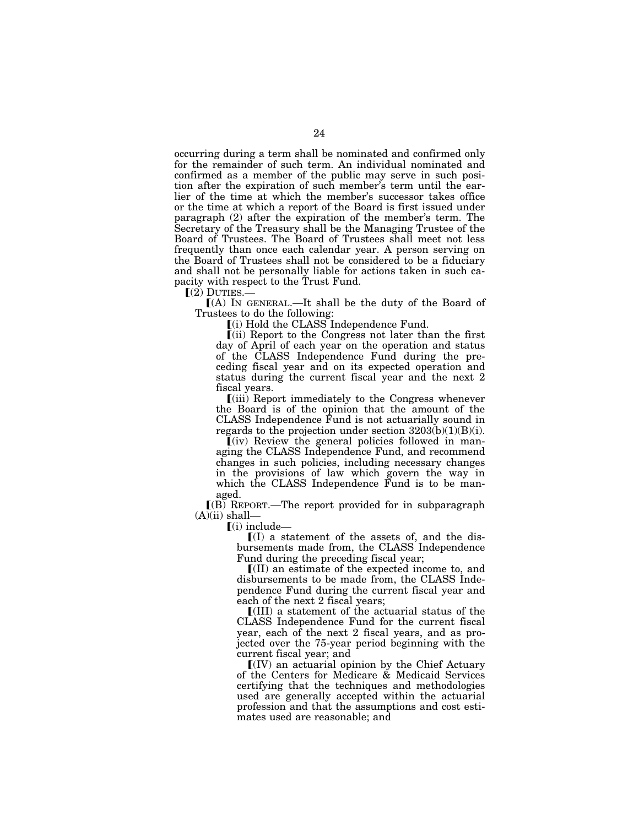occurring during a term shall be nominated and confirmed only for the remainder of such term. An individual nominated and confirmed as a member of the public may serve in such position after the expiration of such member's term until the earlier of the time at which the member's successor takes office or the time at which a report of the Board is first issued under paragraph (2) after the expiration of the member's term. The Secretary of the Treasury shall be the Managing Trustee of the Board of Trustees. The Board of Trustees shall meet not less frequently than once each calendar year. A person serving on the Board of Trustees shall not be considered to be a fiduciary and shall not be personally liable for actions taken in such capacity with respect to the Trust Fund.

 $(Q)$  Duties.—

ø(A) IN GENERAL.—It shall be the duty of the Board of Trustees to do the following:

ø(i) Hold the CLASS Independence Fund.

ø(ii) Report to the Congress not later than the first day of April of each year on the operation and status of the CLASS Independence Fund during the preceding fiscal year and on its expected operation and status during the current fiscal year and the next 2 fiscal years.

 $\lceil$ (iii) Report immediately to the Congress whenever the Board is of the opinion that the amount of the CLASS Independence Fund is not actuarially sound in regards to the projection under section  $3203(b)(1)(B)(i)$ .

 $(iv)$  Review the general policies followed in managing the CLASS Independence Fund, and recommend changes in such policies, including necessary changes in the provisions of law which govern the way in which the CLASS Independence Fund is to be managed.

 $I(B)$  REPORT.—The report provided for in subparagraph  $(A)(ii)$  shall-

 $\lceil$ (i) include—

 $\overline{I}(I)$  a statement of the assets of, and the disbursements made from, the CLASS Independence Fund during the preceding fiscal year;

ø(II) an estimate of the expected income to, and disbursements to be made from, the CLASS Independence Fund during the current fiscal year and each of the next 2 fiscal years;

 $\llbracket$ (III) a statement of the actuarial status of the CLASS Independence Fund for the current fiscal year, each of the next 2 fiscal years, and as projected over the 75-year period beginning with the current fiscal year; and

 $\lfloor$ (IV) an actuarial opinion by the Chief Actuary of the Centers for Medicare & Medicaid Services certifying that the techniques and methodologies used are generally accepted within the actuarial profession and that the assumptions and cost estimates used are reasonable; and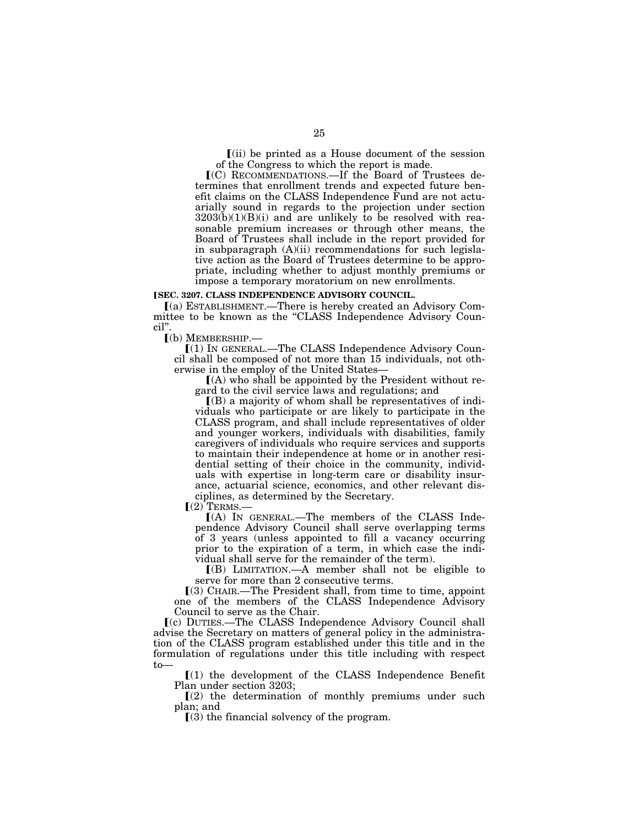$\lceil$ (ii) be printed as a House document of the session of the Congress to which the report is made.

 $(C)$  RECOMMENDATIONS.—If the Board of Trustees determines that enrollment trends and expected future benefit claims on the CLASS Independence Fund are not actuarially sound in regards to the projection under section  $3203(b)(1)(B)(i)$  and are unlikely to be resolved with reasonable premium increases or through other means, the Board of Trustees shall include in the report provided for in subparagraph  $(A)(ii)$  recommendations for such legislative action as the Board of Trustees determine to be appropriate, including whether to adjust monthly premiums or impose a temporary moratorium on new enrollments.

#### **ISEC. 3207. CLASS INDEPENDENCE ADVISORY COUNCIL.**

ø(a) ESTABLISHMENT.—There is hereby created an Advisory Committee to be known as the ''CLASS Independence Advisory Council''.

 $(a)$  MEMBERSHIP.

ø(1) IN GENERAL.—The CLASS Independence Advisory Council shall be composed of not more than 15 individuals, not otherwise in the employ of the United States—

 $(A)$  who shall be appointed by the President without regard to the civil service laws and regulations; and

 $($ B) a majority of whom shall be representatives of individuals who participate or are likely to participate in the CLASS program, and shall include representatives of older and younger workers, individuals with disabilities, family caregivers of individuals who require services and supports to maintain their independence at home or in another residential setting of their choice in the community, individuals with expertise in long-term care or disability insurance, actuarial science, economics, and other relevant disciplines, as determined by the Secretary.

 $(2)$  TERMS.-

ø(A) IN GENERAL.—The members of the CLASS Independence Advisory Council shall serve overlapping terms of 3 years (unless appointed to fill a vacancy occurring prior to the expiration of a term, in which case the individual shall serve for the remainder of the term).

 $(6)$  LIMITATION.—A member shall not be eligible to serve for more than 2 consecutive terms.

ø(3) CHAIR.—The President shall, from time to time, appoint one of the members of the CLASS Independence Advisory Council to serve as the Chair.

ø(c) DUTIES.—The CLASS Independence Advisory Council shall advise the Secretary on matters of general policy in the administration of the CLASS program established under this title and in the formulation of regulations under this title including with respect to—

 $(1)$  the development of the CLASS Independence Benefit Plan under section 3203;

 $\Gamma(2)$  the determination of monthly premiums under such plan; and

 $(3)$  the financial solvency of the program.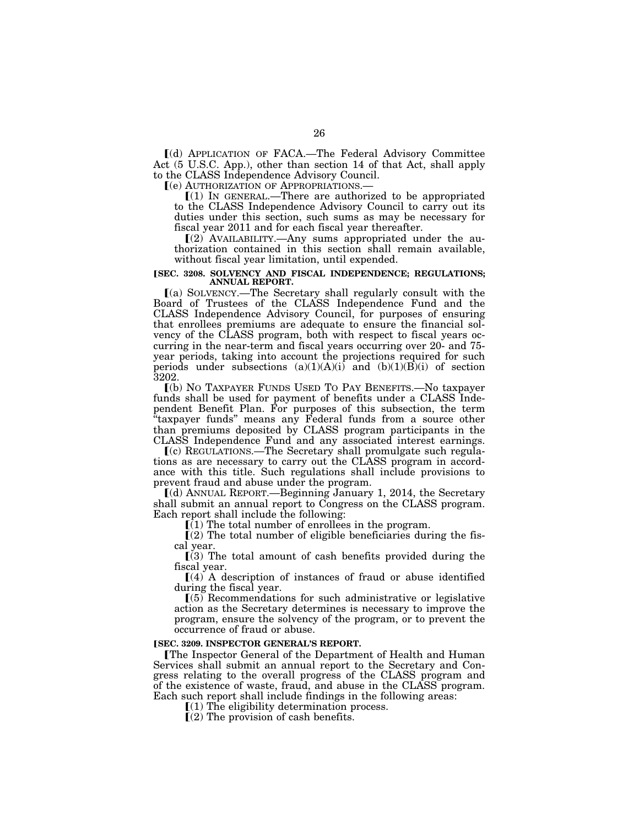ø(d) APPLICATION OF FACA.—The Federal Advisory Committee Act (5 U.S.C. App.), other than section 14 of that Act, shall apply to the CLASS Independence Advisory Council.

ø(e) AUTHORIZATION OF APPROPRIATIONS.—

 $(1)$  In GENERAL.—There are authorized to be appropriated to the CLASS Independence Advisory Council to carry out its duties under this section, such sums as may be necessary for fiscal year 2011 and for each fiscal year thereafter.

 $(2)$  AVAILABILITY.—Any sums appropriated under the authorization contained in this section shall remain available, without fiscal year limitation, until expended.

#### **[SEC. 3208. SOLVENCY AND FISCAL INDEPENDENCE; REGULATIONS; ANNUAL REPORT.**

ø(a) SOLVENCY.—The Secretary shall regularly consult with the Board of Trustees of the CLASS Independence Fund and the CLASS Independence Advisory Council, for purposes of ensuring that enrollees premiums are adequate to ensure the financial solvency of the CLASS program, both with respect to fiscal years occurring in the near-term and fiscal years occurring over 20- and 75 year periods, taking into account the projections required for such periods under subsections  $(a)(1)(A)(i)$  and  $(b)(1)(B)(i)$  of section 3202.

ø(b) NO TAXPAYER FUNDS USED TO PAY BENEFITS.—No taxpayer funds shall be used for payment of benefits under a CLASS Independent Benefit Plan. For purposes of this subsection, the term ''taxpayer funds'' means any Federal funds from a source other than premiums deposited by CLASS program participants in the CLASS Independence Fund and any associated interest earnings.

ø(c) REGULATIONS.—The Secretary shall promulgate such regulations as are necessary to carry out the CLASS program in accordance with this title. Such regulations shall include provisions to prevent fraud and abuse under the program.

ø(d) ANNUAL REPORT.—Beginning January 1, 2014, the Secretary shall submit an annual report to Congress on the CLASS program. Each report shall include the following:

 $\mathbf{I}(1)$  The total number of enrollees in the program.

 $\Gamma(2)$  The total number of eligible beneficiaries during the fiscal year.

 $(3)$  The total amount of cash benefits provided during the fiscal year.

 $(4)$  A description of instances of fraud or abuse identified during the fiscal year.

 $(5)$  Recommendations for such administrative or legislative action as the Secretary determines is necessary to improve the program, ensure the solvency of the program, or to prevent the occurrence of fraud or abuse.

#### **[SEC. 3209. INSPECTOR GENERAL'S REPORT.**

øThe Inspector General of the Department of Health and Human Services shall submit an annual report to the Secretary and Congress relating to the overall progress of the CLASS program and of the existence of waste, fraud, and abuse in the CLASS program. Each such report shall include findings in the following areas:

 $(1)$  The eligibility determination process.

 $(2)$  The provision of cash benefits.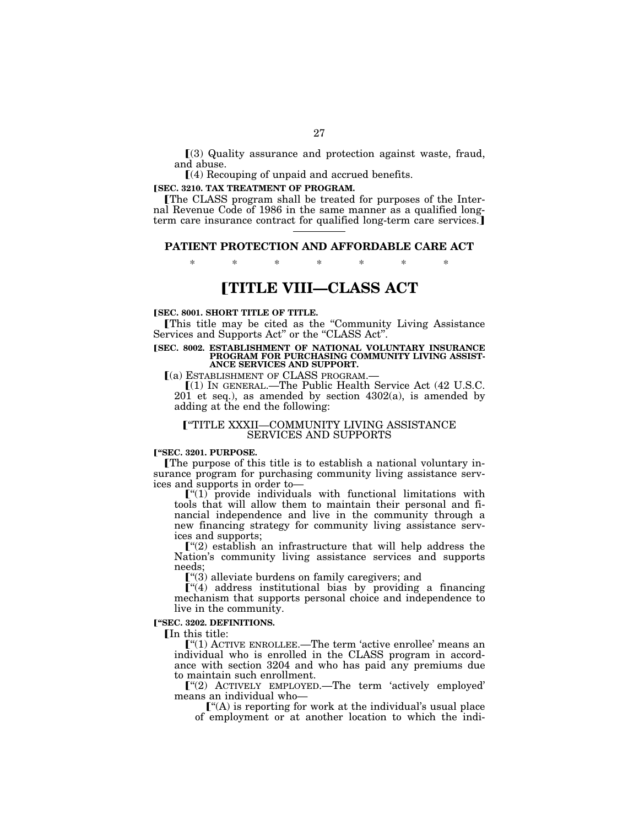$(3)$  Quality assurance and protection against waste, fraud, and abuse.

 $(4)$  Recouping of unpaid and accrued benefits.

# **[SEC. 3210. TAX TREATMENT OF PROGRAM.**

øThe CLASS program shall be treated for purposes of the Internal Revenue Code of 1986 in the same manner as a qualified longterm care insurance contract for qualified long-term care services.]

# **PATIENT PROTECTION AND AFFORDABLE CARE ACT**

\* \* \* \* \* \* \*

# ø**TITLE VIII—CLASS ACT**

#### **[SEC. 8001. SHORT TITLE OF TITLE.**

øThis title may be cited as the ''Community Living Assistance Services and Supports Act" or the "CLASS Act".

# **SEC. 8002. ESTABLISHMENT OF NATIONAL VOLUNTARY INSURANCE PROGRAM FOR PURCHASING COMMUNITY LIVING ASSIST-ANCE SERVICES AND SUPPORT.**

 $(a)$  ESTABLISHMENT OF CLASS PROGRAM.—<br> $(1)$  IN GENERAL.—The Public Health Service Act (42 U.S.C. 201 et seq.), as amended by section  $4302(a)$ , is amended by adding at the end the following:

# ø''TITLE XXXII—COMMUNITY LIVING ASSISTANCE SERVICES AND SUPPORTS

#### ø**''SEC. 3201. PURPOSE.**

øThe purpose of this title is to establish a national voluntary insurance program for purchasing community living assistance services and supports in order to—

 $\llbracket$ "(1) provide individuals with functional limitations with tools that will allow them to maintain their personal and financial independence and live in the community through a new financing strategy for community living assistance services and supports;

 $\lbrack$ <sup>"(2)</sup> establish an infrastructure that will help address the Nation's community living assistance services and supports needs;

 $\llbracket$  (43) alleviate burdens on family caregivers; and

 $\tilde{C}^{(4)}$  address institutional bias by providing a financing mechanism that supports personal choice and independence to live in the community.

#### ø**''SEC. 3202. DEFINITIONS.**

**In this title:** 

 $\lbrack$ "(1) ACTIVE ENROLLEE.—The term 'active enrollee' means an individual who is enrolled in the CLASS program in accordance with section 3204 and who has paid any premiums due to maintain such enrollment.

ø''(2) ACTIVELY EMPLOYED.—The term 'actively employed' means an individual who—

 $\lceil$  "(A) is reporting for work at the individual's usual place of employment or at another location to which the indi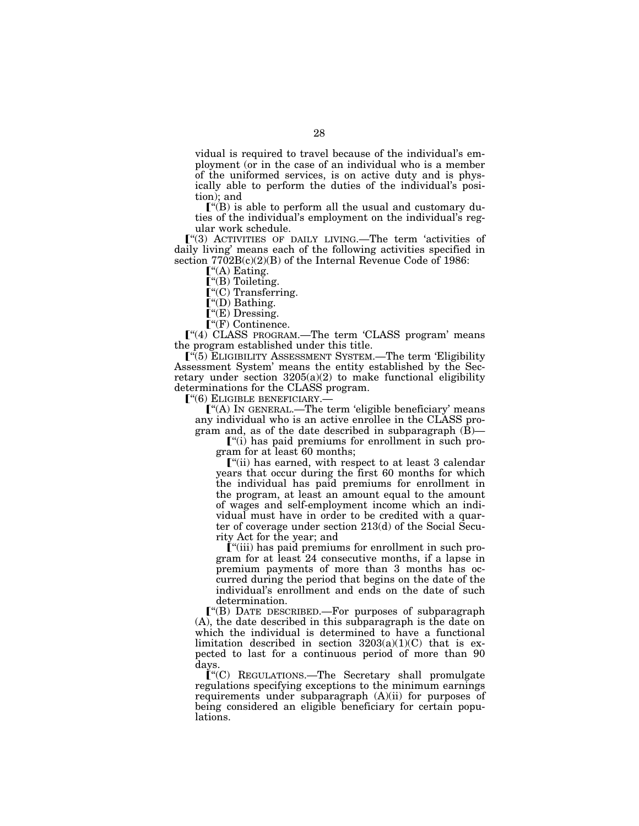vidual is required to travel because of the individual's employment (or in the case of an individual who is a member of the uniformed services, is on active duty and is physically able to perform the duties of the individual's position); and

 $\llbracket$ "(B) is able to perform all the usual and customary duties of the individual's employment on the individual's regular work schedule.

 $\lceil$  "(3) ACTIVITIES OF DAILY LIVING.—The term 'activities of daily living' means each of the following activities specified in section  $7702B(c)(2)(B)$  of the Internal Revenue Code of 1986:

 $\Gamma$ "(A) Eating.

 $\ddot{C}$ "(B) Toileting.

 $\mathbf{F}^{\mathbf{a}}(C)$  Transferring.

 $\Gamma$ "(D) Bathing.

 $\mathbf{F}^*(\mathbf{E})$  Dressing.

 $\mathbb{I}^{\mathfrak{a}}(F)$  Continence.  $\lbrack$  (4) CLASS PROGRAM.—The term 'CLASS program' means the program established under this title.

ø''(5) ELIGIBILITY ASSESSMENT SYSTEM.—The term 'Eligibility Assessment System' means the entity established by the Secretary under section  $3205(a)(2)$  to make functional eligibility determinations for the CLASS program.

 $\lceil$ "(6) ELIGIBLE BENEFICIARY.-

 $\lbrack$  "(A) In GENERAL.—The term 'eligible beneficiary' means any individual who is an active enrollee in the CLASS program and, as of the date described in subparagraph  $(\bar{B})$ —

 $\mathbf{I}^{\omega}(i)$  has paid premiums for enrollment in such program for at least 60 months;

 $\llbracket$ "(ii) has earned, with respect to at least 3 calendar years that occur during the first 60 months for which the individual has paid premiums for enrollment in the program, at least an amount equal to the amount of wages and self-employment income which an individual must have in order to be credited with a quarter of coverage under section 213(d) of the Social Security Act for the year; and

 $\lbrack$ <sup>"(iii)</sup> has paid premiums for enrollment in such program for at least 24 consecutive months, if a lapse in premium payments of more than 3 months has occurred during the period that begins on the date of the individual's enrollment and ends on the date of such determination.

 $\lbrack$  (B) DATE DESCRIBED.—For purposes of subparagraph (A), the date described in this subparagraph is the date on which the individual is determined to have a functional limitation described in section  $3203(a)(1)(C)$  that is expected to last for a continuous period of more than 90 days.

ø''(C) REGULATIONS.—The Secretary shall promulgate regulations specifying exceptions to the minimum earnings requirements under subparagraph  $(A)(ii)$  for purposes of being considered an eligible beneficiary for certain populations.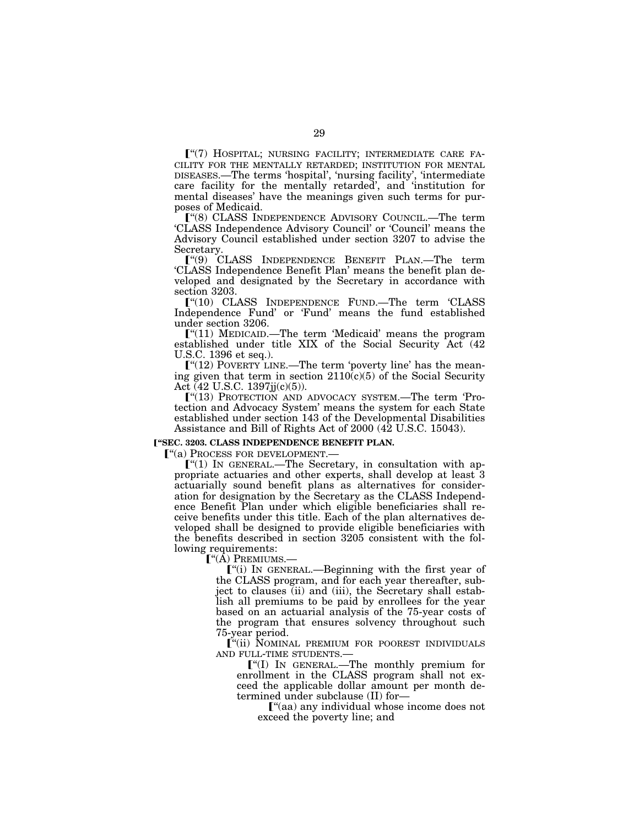ø''(7) HOSPITAL; NURSING FACILITY; INTERMEDIATE CARE FA-CILITY FOR THE MENTALLY RETARDED; INSTITUTION FOR MENTAL DISEASES.—The terms 'hospital', 'nursing facility', 'intermediate care facility for the mentally retarded', and 'institution for mental diseases' have the meanings given such terms for purposes of Medicaid.

**[**"(8) CLASS INDEPENDENCE ADVISORY COUNCIL.—The term 'CLASS Independence Advisory Council' or 'Council' means the Advisory Council established under section 3207 to advise the Secretary.

ø''(9) CLASS INDEPENDENCE BENEFIT PLAN.—The term 'CLASS Independence Benefit Plan' means the benefit plan developed and designated by the Secretary in accordance with section 3203.

**[**"(10) CLASS INDEPENDENCE FUND.—The term 'CLASS Independence Fund' or 'Fund' means the fund established under section 3206.

 $\lceil$  "(11) MEDICAID.—The term 'Medicaid' means the program established under title XIX of the Social Security Act (42 U.S.C. 1396 et seq.).

 $\llbracket$ "(12) POVERTY LINE.—The term 'poverty line' has the meaning given that term in section  $2110(c)(5)$  of the Social Security Act (42 U.S.C. 1397jj(c)(5)).

<sup>"</sup>(13) PROTECTION AND ADVOCACY SYSTEM.—The term 'Protection and Advocacy System' means the system for each State established under section 143 of the Developmental Disabilities Assistance and Bill of Rights Act of 2000 (42 U.S.C. 15043).

#### ø**''SEC. 3203. CLASS INDEPENDENCE BENEFIT PLAN.**

ø''(a) PROCESS FOR DEVELOPMENT.—

 $\lbrack$  (1) In GENERAL.—The Secretary, in consultation with appropriate actuaries and other experts, shall develop at least 3 actuarially sound benefit plans as alternatives for consideration for designation by the Secretary as the CLASS Independence Benefit Plan under which eligible beneficiaries shall receive benefits under this title. Each of the plan alternatives developed shall be designed to provide eligible beneficiaries with the benefits described in section 3205 consistent with the following requirements:

 $\mathsf{I}^{\mathcal{A}}(\tilde{A})$  Premiums.—

 $\lceil$  "(i) In GENERAL.—Beginning with the first year of the CLASS program, and for each year thereafter, subject to clauses (ii) and (iii), the Secretary shall establish all premiums to be paid by enrollees for the year based on an actuarial analysis of the 75-year costs of the program that ensures solvency throughout such

75-year period.<br>
["(ii) NOMINAL PREMIUM FOR POOREST INDIVIDUALS AND FULL-TIME STUDENTS.—

ø''(I) IN GENERAL.—The monthly premium for enrollment in the CLASS program shall not exceed the applicable dollar amount per month determined under subclause (II) for—

**[**"(aa) any individual whose income does not exceed the poverty line; and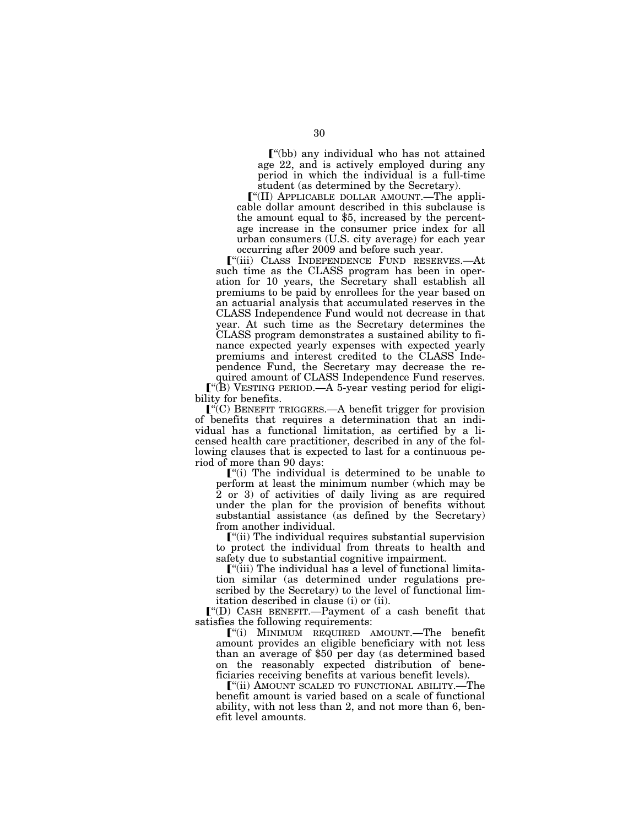ø''(bb) any individual who has not attained age 22, and is actively employed during any period in which the individual is a full-time student (as determined by the Secretary).

ø''(II) APPLICABLE DOLLAR AMOUNT.—The applicable dollar amount described in this subclause is the amount equal to \$5, increased by the percentage increase in the consumer price index for all urban consumers (U.S. city average) for each year occurring after 2009 and before such year.

ø''(iii) CLASS INDEPENDENCE FUND RESERVES.—At such time as the CLASS program has been in operation for 10 years, the Secretary shall establish all premiums to be paid by enrollees for the year based on an actuarial analysis that accumulated reserves in the CLASS Independence Fund would not decrease in that year. At such time as the Secretary determines the CLASS program demonstrates a sustained ability to finance expected yearly expenses with expected yearly premiums and interest credited to the CLASS Independence Fund, the Secretary may decrease the required amount of CLASS Independence Fund reserves.

 $\lbrack$  (B) VESTING PERIOD.—A 5-year vesting period for eligibility for benefits.

 $\lbrack$ <sup>"(C)</sup> BENEFIT TRIGGERS.—A benefit trigger for provision of benefits that requires a determination that an individual has a functional limitation, as certified by a licensed health care practitioner, described in any of the following clauses that is expected to last for a continuous period of more than 90 days:

 $\lceil$  "(i) The individual is determined to be unable to perform at least the minimum number (which may be 2 or 3) of activities of daily living as are required under the plan for the provision of benefits without substantial assistance (as defined by the Secretary) from another individual.

 $\lceil$ "(ii) The individual requires substantial supervision to protect the individual from threats to health and safety due to substantial cognitive impairment.

 $\lbrack$ "(iii) The individual has a level of functional limitation similar (as determined under regulations prescribed by the Secretary) to the level of functional limitation described in clause (i) or (ii).

ø''(D) CASH BENEFIT.—Payment of a cash benefit that satisfies the following requirements:

 $\lceil$ "(i) MINIMUM REQUIRED AMOUNT.—The benefit amount provides an eligible beneficiary with not less than an average of \$50 per day (as determined based on the reasonably expected distribution of beneficiaries receiving benefits at various benefit levels).

**I**"(ii) AMOUNT SCALED TO FUNCTIONAL ABILITY.—The benefit amount is varied based on a scale of functional ability, with not less than 2, and not more than 6, benefit level amounts.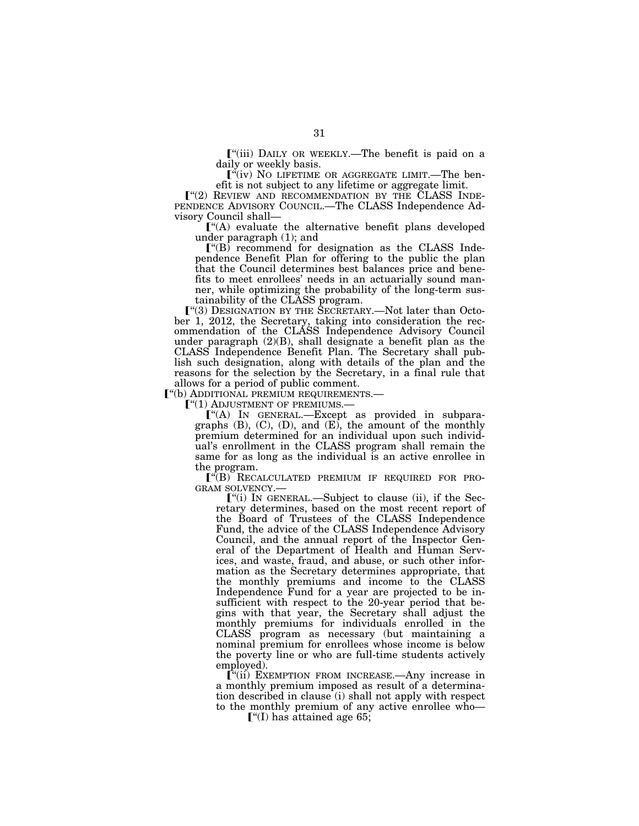$\lceil$ "(iii) DAILY OR WEEKLY.—The benefit is paid on a daily or weekly basis.

 $\int_0^x$ (iv) NO LIFETIME OR AGGREGATE LIMIT.—The benefit is not subject to any lifetime or aggregate limit.

 $\llbracket$ "(2) REVIEW AND RECOMMENDATION BY THE CLASS INDE-PENDENCE ADVISORY COUNCIL.—The CLASS Independence Advisory Council shall—

ø''(A) evaluate the alternative benefit plans developed under paragraph (1); and<br>  $\blacksquare$  ("(B) recommend for designation as the CLASS Inde-

pendence Benefit Plan for offering to the public the plan that the Council determines best balances price and benefits to meet enrollees' needs in an actuarially sound manner, while optimizing the probability of the long-term sus-

tainability of the CLASS program.<br>["(3) DESIGNATION BY THE SECRETARY.—Not later than October 1, 2012, the Secretary, taking into consideration the recommendation of the CLASS Independence Advisory Council under paragraph (2)(B), shall designate a benefit plan as the CLASS Independence Benefit Plan. The Secretary shall publish such designation, along with details of the plan and the reasons for the selection by the Secretary, in a final rule that

allows for a period of public comment.<br> $\int_{0}^{\alpha}$  (b) ADDITIONAL PREMIUM REQUIREMENTS.

 $\lbrack}^{\infty}(1)$  ADJUSTMENT OF PREMIUMS.—<br> $\lbrack}^{\infty}(1)$  ADJUSTMENT OF PREMIUMS.—<br>Except as provided in subparagraphs  $(B)$ ,  $(C)$ ,  $(D)$ , and  $(E)$ , the amount of the monthly premium determined for an individual upon such individual's enrollment in the CLASS program shall remain the same for as long as the individual is an active enrollee in the program.

 $\binom{w}{B}$  RECALCULATED PREMIUM IF REQUIRED FOR PRO-<br>GRAM SOLVENCY.—<br> $\binom{w}{i}$  In GENERAL.—Subject to clause (ii), if the Sec-

retary determines, based on the most recent report of the Board of Trustees of the CLASS Independence Fund, the advice of the CLASS Independence Advisory Council, and the annual report of the Inspector General of the Department of Health and Human Services, and waste, fraud, and abuse, or such other information as the Secretary determines appropriate, that the monthly premiums and income to the CLASS Independence Fund for a year are projected to be insufficient with respect to the 20-year period that begins with that year, the Secretary shall adjust the monthly premiums for individuals enrolled in the CLASS program as necessary (but maintaining a nominal premium for enrollees whose income is below the poverty line or who are full-time students actively employed).

ø''(ii) EXEMPTION FROM INCREASE.—Any increase in a monthly premium imposed as result of a determination described in clause (i) shall not apply with respect to the monthly premium of any active enrollee who—

 $\lbrack$ "(I) has attained age 65;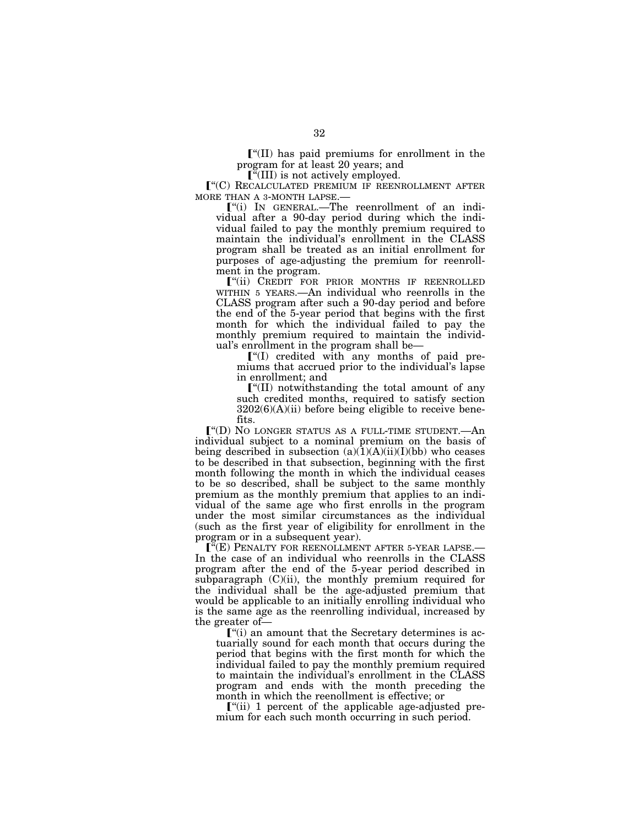$\lceil$  "(II) has paid premiums for enrollment in the program for at least 20 years; and

ø''(III) is not actively employed.

ø''(C) RECALCULATED PREMIUM IF REENROLLMENT AFTER MORE THAN A 3-MONTH LAPSE.—

 $\lbrack$  (i) In GENERAL.—The reenrollment of an individual after a 90-day period during which the individual failed to pay the monthly premium required to maintain the individual's enrollment in the CLASS program shall be treated as an initial enrollment for purposes of age-adjusting the premium for reenrollment in the program.

ø''(ii) CREDIT FOR PRIOR MONTHS IF REENROLLED WITHIN 5 YEARS.—An individual who reenrolls in the CLASS program after such a 90-day period and before the end of the 5-year period that begins with the first month for which the individual failed to pay the monthly premium required to maintain the individual's enrollment in the program shall be—

 $\llbracket$  ( $\llbracket$ ) credited with any months of paid premiums that accrued prior to the individual's lapse in enrollment; and

 $\lbrack$ <sup>"(II)</sup> notwithstanding the total amount of any such credited months, required to satisfy section  $3202(6)(A)(ii)$  before being eligible to receive benefits.

ø''(D) NO LONGER STATUS AS A FULL-TIME STUDENT.—An individual subject to a nominal premium on the basis of being described in subsection  $(a)(1)(A)(ii)(I)(bb)$  who ceases to be described in that subsection, beginning with the first month following the month in which the individual ceases to be so described, shall be subject to the same monthly premium as the monthly premium that applies to an individual of the same age who first enrolls in the program under the most similar circumstances as the individual (such as the first year of eligibility for enrollment in the program or in a subsequent year).

ø''(E) PENALTY FOR REENOLLMENT AFTER 5-YEAR LAPSE.— In the case of an individual who reenrolls in the CLASS program after the end of the 5-year period described in subparagraph (C)(ii), the monthly premium required for the individual shall be the age-adjusted premium that would be applicable to an initially enrolling individual who is the same age as the reenrolling individual, increased by the greater of—

 $\mathbf{f}^*(i)$  an amount that the Secretary determines is actuarially sound for each month that occurs during the period that begins with the first month for which the individual failed to pay the monthly premium required to maintain the individual's enrollment in the CLASS program and ends with the month preceding the month in which the reenollment is effective; or

 $\lceil$  "(ii) 1 percent of the applicable age-adjusted premium for each such month occurring in such period.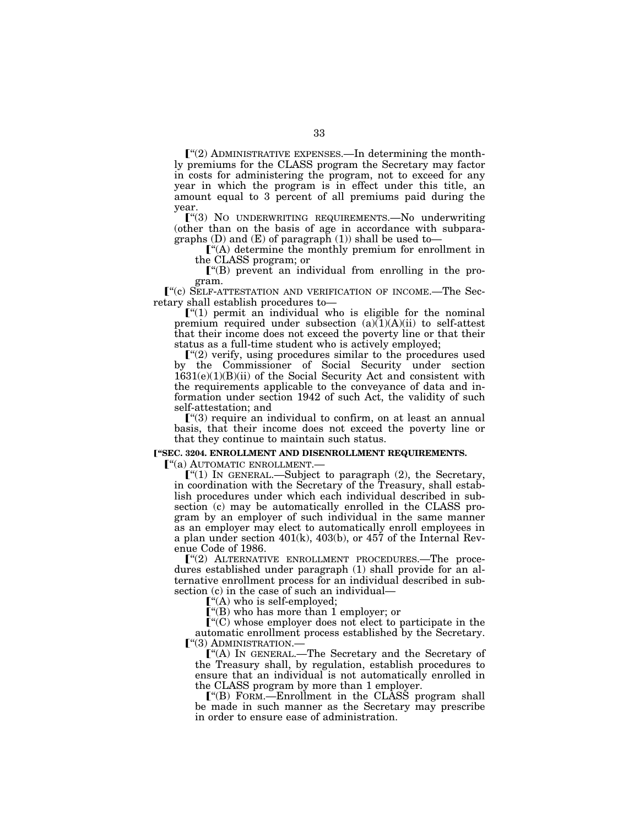$\lceil$ "(2) ADMINISTRATIVE EXPENSES.—In determining the monthly premiums for the CLASS program the Secretary may factor in costs for administering the program, not to exceed for any year in which the program is in effect under this title, an amount equal to 3 percent of all premiums paid during the year.

ø''(3) NO UNDERWRITING REQUIREMENTS.—No underwriting (other than on the basis of age in accordance with subparagraphs  $(D)$  and  $(E)$  of paragraph  $(1)$  shall be used to-

 $\mathbf{C}^{\mathcal{A}}(A)$  determine the monthly premium for enrollment in the CLASS program; or

 $\llbracket$ "(B) prevent an individual from enrolling in the program.

 $\lceil$ "(c) SELF-ATTESTATION AND VERIFICATION OF INCOME.—The Secretary shall establish procedures to—

 $\llbracket$ "(1) permit an individual who is eligible for the nominal premium required under subsection  $(a)(1)(A)(ii)$  to self-attest that their income does not exceed the poverty line or that their status as a full-time student who is actively employed;

 $\lbrack$  "(2) verify, using procedures similar to the procedures used by the Commissioner of Social Security under section 1631(e)(1)(B)(ii) of the Social Security Act and consistent with the requirements applicable to the conveyance of data and information under section 1942 of such Act, the validity of such self-attestation; and

 $\llbracket$ <sup>"(3)</sup> require an individual to confirm, on at least an annual basis, that their income does not exceed the poverty line or that they continue to maintain such status.

## ø**''SEC. 3204. ENROLLMENT AND DISENROLLMENT REQUIREMENTS.**

**[**"(a) AUTOMATIC ENROLLMENT.-

 $\lbrack$  (1) IN GENERAL.—Subject to paragraph (2), the Secretary, in coordination with the Secretary of the Treasury, shall establish procedures under which each individual described in subsection (c) may be automatically enrolled in the CLASS program by an employer of such individual in the same manner as an employer may elect to automatically enroll employees in a plan under section 401(k), 403(b), or 457 of the Internal Revenue Code of 1986.

 $\lceil$ "(2) ALTERNATIVE ENROLLMENT PROCEDURES.—The procedures established under paragraph (1) shall provide for an alternative enrollment process for an individual described in subsection (c) in the case of such an individual—

 $\lbrack$ "(A) who is self-employed;

ø''(B) who has more than 1 employer; or

 $\mathbf{C}^{\omega}(C)$  whose employer does not elect to participate in the automatic enrollment process established by the Secretary. ø''(3) ADMINISTRATION.—

ø''(A) IN GENERAL.—The Secretary and the Secretary of the Treasury shall, by regulation, establish procedures to ensure that an individual is not automatically enrolled in the CLASS program by more than 1 employer.

 $\lceil$  (B) FORM.—Enrollment in the CLASS program shall be made in such manner as the Secretary may prescribe in order to ensure ease of administration.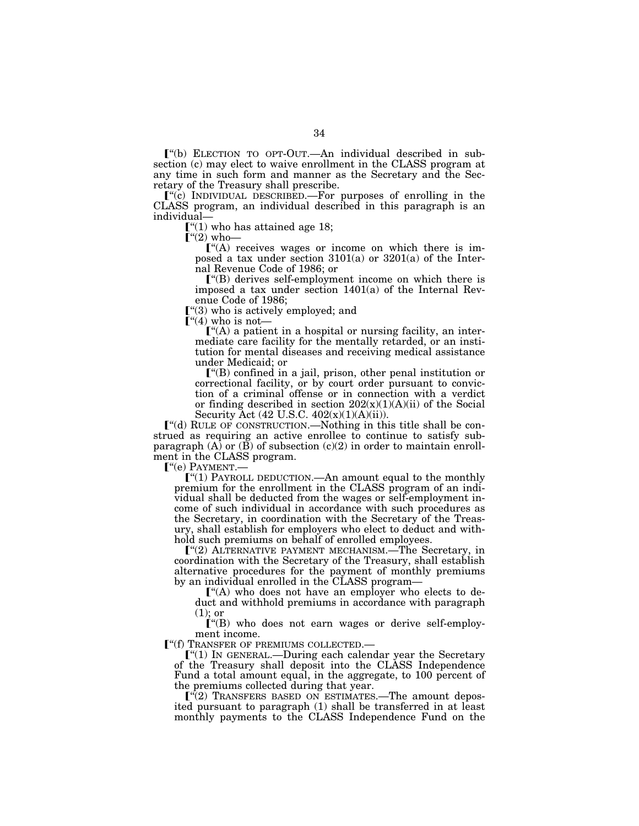ø''(b) ELECTION TO OPT-OUT.—An individual described in subsection (c) may elect to waive enrollment in the CLASS program at any time in such form and manner as the Secretary and the Secretary of the Treasury shall prescribe.

 $\lbrack$ "(c) INDIVIDUAL DESCRIBED.—For purposes of enrolling in the CLASS program, an individual described in this paragraph is an individual—

 $\lbrack$  ('(1) who has attained age 18;

 $\lceil$ "(2) who—

 $\mathbf{C}^{\mu}(A)$  receives wages or income on which there is imposed a tax under section 3101(a) or 3201(a) of the Internal Revenue Code of 1986; or

 $\lbrack$ <sup>"(B)</sup> derives self-employment income on which there is imposed a tax under section 1401(a) of the Internal Revenue Code of 1986;

 $\lceil$  "(3) who is actively employed; and

 $\lbrack$ "(4) who is not-

 $\llbracket$ <sup>"(A)</sup> a patient in a hospital or nursing facility, an intermediate care facility for the mentally retarded, or an institution for mental diseases and receiving medical assistance under Medicaid; or

 $\llbracket$ <sup>"(B)</sup> confined in a jail, prison, other penal institution or correctional facility, or by court order pursuant to conviction of a criminal offense or in connection with a verdict or finding described in section  $202(x)(1)(A)(ii)$  of the Social Security Act  $(42 \text{ U.S.C. } 402(x)(1)(A)(ii)).$ 

ø''(d) RULE OF CONSTRUCTION.—Nothing in this title shall be construed as requiring an active enrollee to continue to satisfy subparagraph  $(A)$  or  $(B)$  of subsection  $(c)(2)$  in order to maintain enrollment in the CLASS program.

 $\lbrack$ "(e) PAYMENT.—<br> $\lbrack$ "(1) PAYROLL DEDUCTION.—An amount equal to the monthly premium for the enrollment in the CLASS program of an individual shall be deducted from the wages or self-employment income of such individual in accordance with such procedures as the Secretary, in coordination with the Secretary of the Treasury, shall establish for employers who elect to deduct and withhold such premiums on behalf of enrolled employees.

ø''(2) ALTERNATIVE PAYMENT MECHANISM.—The Secretary, in coordination with the Secretary of the Treasury, shall establish alternative procedures for the payment of monthly premiums by an individual enrolled in the CLASS program—

 $\lceil$  "(A) who does not have an employer who elects to deduct and withhold premiums in accordance with paragraph (1); or

 $\Gamma$ "(B) who does not earn wages or derive self-employment income.

**I**"(f) TRANSFER OF PREMIUMS COLLECTED.

 $\lbrack$  (1) In GENERAL.—During each calendar year the Secretary of the Treasury shall deposit into the CLASS Independence Fund a total amount equal, in the aggregate, to 100 percent of the premiums collected during that year.

 $\lceil$  "(2) TRANSFERS BASED ON ESTIMATES.—The amount deposited pursuant to paragraph (1) shall be transferred in at least monthly payments to the CLASS Independence Fund on the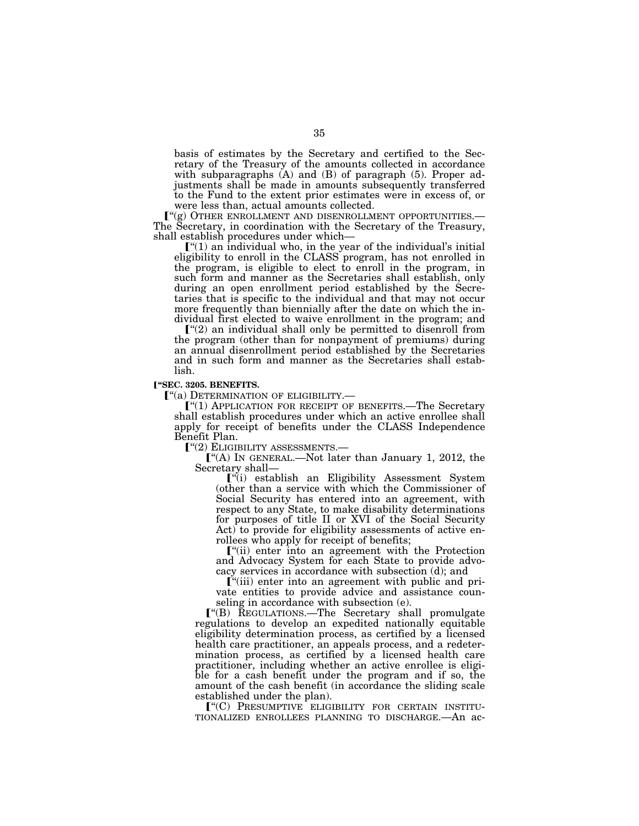basis of estimates by the Secretary and certified to the Secretary of the Treasury of the amounts collected in accordance with subparagraphs (A) and (B) of paragraph (5). Proper adjustments shall be made in amounts subsequently transferred to the Fund to the extent prior estimates were in excess of, or

were less than, actual amounts collected.<br> $[$ "(g) OTHER ENROLLMENT AND DISENROLLMENT OPPORTUNITIES.— The Secretary, in coordination with the Secretary of the Treasury, shall establish procedures under which—

 $\llbracket$ "(1) an individual who, in the year of the individual's initial eligibility to enroll in the CLASS program, has not enrolled in the program, is eligible to elect to enroll in the program, in such form and manner as the Secretaries shall establish, only during an open enrollment period established by the Secretaries that is specific to the individual and that may not occur more frequently than biennially after the date on which the individual first elected to waive enrollment in the program; and

 $\llbracket$ <sup>"(2)</sup> an individual shall only be permitted to disenroll from the program (other than for nonpayment of premiums) during an annual disenrollment period established by the Secretaries and in such form and manner as the Secretaries shall establish.

#### ø**''SEC. 3205. BENEFITS.**

 $\binom{w}{a}$  Determination of eligibility.—<br> $\binom{w}{1}$  Application for receipt of benefits.—The Secretary shall establish procedures under which an active enrollee shall apply for receipt of benefits under the CLASS Independence Benefit Plan.

 $\lbrack$  ("(2) ELIGIBILITY ASSESSMENTS.—<br> $\lbrack$  ("(A) IN GENERAL.—Not later than January 1, 2012, the Secretary shall—

 $\lceil$ "(i) establish an Eligibility Assessment System (other than a service with which the Commissioner of Social Security has entered into an agreement, with respect to any State, to make disability determinations for purposes of title II or XVI of the Social Security Act) to provide for eligibility assessments of active enrollees who apply for receipt of benefits;

ø''(ii) enter into an agreement with the Protection and Advocacy System for each State to provide advocacy services in accordance with subsection (d); and

 $\mathbf{r}^{\mathcal{A}}$  (iii) enter into an agreement with public and private entities to provide advice and assistance counseling in accordance with subsection (e).

ø''(B) REGULATIONS.—The Secretary shall promulgate regulations to develop an expedited nationally equitable eligibility determination process, as certified by a licensed health care practitioner, an appeals process, and a redetermination process, as certified by a licensed health care practitioner, including whether an active enrollee is eligible for a cash benefit under the program and if so, the amount of the cash benefit (in accordance the sliding scale established under the plan).

ø''(C) PRESUMPTIVE ELIGIBILITY FOR CERTAIN INSTITU-TIONALIZED ENROLLEES PLANNING TO DISCHARGE.—An ac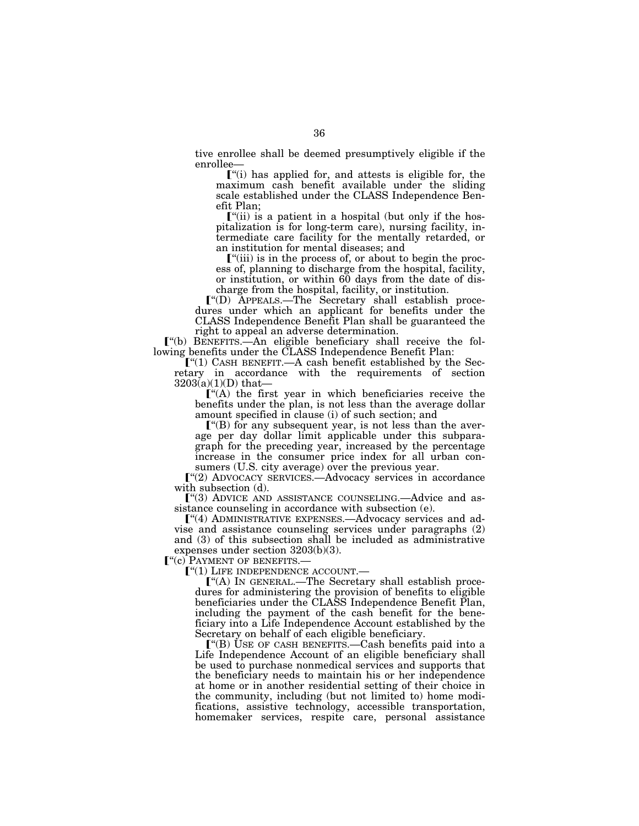tive enrollee shall be deemed presumptively eligible if the enrollee—

 $\lbrack$  "(i) has applied for, and attests is eligible for, the maximum cash benefit available under the sliding scale established under the CLASS Independence Benefit Plan;

 $\lbrack$ "(ii) is a patient in a hospital (but only if the hospitalization is for long-term care), nursing facility, intermediate care facility for the mentally retarded, or an institution for mental diseases; and

 $\lbrack$ <sup>"(iii)</sup> is in the process of, or about to begin the process of, planning to discharge from the hospital, facility, or institution, or within 60 days from the date of discharge from the hospital, facility, or institution.

ø''(D) APPEALS.—The Secretary shall establish procedures under which an applicant for benefits under the CLASS Independence Benefit Plan shall be guaranteed the right to appeal an adverse determination.

ø''(b) BENEFITS.—An eligible beneficiary shall receive the following benefits under the CLASS Independence Benefit Plan:

 $\lbrack$  (1) CASH BENEFIT.—A cash benefit established by the Secretary in accordance with the requirements of section  $3203(a)(1)(D)$  that-

 $\mathbf{f}^{\mathcal{A}}(A)$  the first year in which beneficiaries receive the benefits under the plan, is not less than the average dollar amount specified in clause (i) of such section; and

 $\lbrack$  ("(B) for any subsequent year, is not less than the average per day dollar limit applicable under this subparagraph for the preceding year, increased by the percentage increase in the consumer price index for all urban consumers (U.S. city average) over the previous year.

ø''(2) ADVOCACY SERVICES.—Advocacy services in accordance with subsection (d).

<sup>"</sup>(3) ADVICE AND ASSISTANCE COUNSELING.—Advice and assistance counseling in accordance with subsection (e).

**[**"(4) ADMINISTRATIVE EXPENSES.—Advocacy services and advise and assistance counseling services under paragraphs (2) and (3) of this subsection shall be included as administrative expenses under section 3203(b)(3).

**[**"(c) PAYMENT OF BENEFITS.

 $\lbrack$  (1) LIFE INDEPENDENCE ACCOUNT.—

ø''(A) IN GENERAL.—The Secretary shall establish procedures for administering the provision of benefits to eligible beneficiaries under the CLASS Independence Benefit Plan, including the payment of the cash benefit for the beneficiary into a Life Independence Account established by the Secretary on behalf of each eligible beneficiary.

 $\llbracket$ "(B) USE OF CASH BENEFITS.—Cash benefits paid into a Life Independence Account of an eligible beneficiary shall be used to purchase nonmedical services and supports that the beneficiary needs to maintain his or her independence at home or in another residential setting of their choice in the community, including (but not limited to) home modifications, assistive technology, accessible transportation, homemaker services, respite care, personal assistance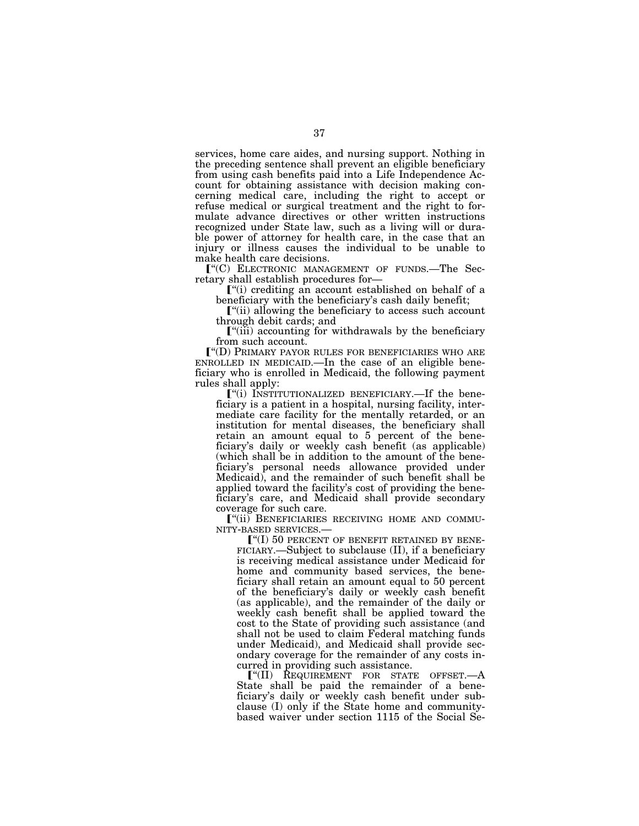services, home care aides, and nursing support. Nothing in the preceding sentence shall prevent an eligible beneficiary from using cash benefits paid into a Life Independence Account for obtaining assistance with decision making concerning medical care, including the right to accept or refuse medical or surgical treatment and the right to formulate advance directives or other written instructions recognized under State law, such as a living will or durable power of attorney for health care, in the case that an injury or illness causes the individual to be unable to make health care decisions.

ø''(C) ELECTRONIC MANAGEMENT OF FUNDS.—The Secretary shall establish procedures for—

 $\lbrack$ <sup>"(i)</sup> crediting an account established on behalf of a beneficiary with the beneficiary's cash daily benefit;

 $\lbrack$ <sup>"(ii)</sup> allowing the beneficiary to access such account through debit cards; and

 $\lbrack$ <sup>"(iii)</sup> accounting for withdrawals by the beneficiary from such account.

ø''(D) PRIMARY PAYOR RULES FOR BENEFICIARIES WHO ARE ENROLLED IN MEDICAID.—In the case of an eligible beneficiary who is enrolled in Medicaid, the following payment rules shall apply:

 $\lbrack$ "(i) INSTITUTIONALIZED BENEFICIARY.—If the beneficiary is a patient in a hospital, nursing facility, intermediate care facility for the mentally retarded, or an institution for mental diseases, the beneficiary shall retain an amount equal to 5 percent of the beneficiary's daily or weekly cash benefit (as applicable) (which shall be in addition to the amount of the beneficiary's personal needs allowance provided under Medicaid), and the remainder of such benefit shall be applied toward the facility's cost of providing the beneficiary's care, and Medicaid shall provide secondary coverage for such care.

<sup>"</sup>(ii) BENEFICIARIES RECEIVING HOME AND COMMUNITY-BASED SERVICES.—<br>
<sup>"</sup>(I) 50 PERCENT OF BENEFIT RETAINED BY BENE-<br>
FICIARY.—Subject to subclause (II), if a beneficiary

is receiving medical assistance under Medicaid for home and community based services, the beneficiary shall retain an amount equal to 50 percent of the beneficiary's daily or weekly cash benefit (as applicable), and the remainder of the daily or weekly cash benefit shall be applied toward the cost to the State of providing such assistance (and shall not be used to claim Federal matching funds under Medicaid), and Medicaid shall provide secondary coverage for the remainder of any costs incurred in providing such assistance.

ø''(II) REQUIREMENT FOR STATE OFFSET.—A State shall be paid the remainder of a beneficiary's daily or weekly cash benefit under subclause (I) only if the State home and communitybased waiver under section 1115 of the Social Se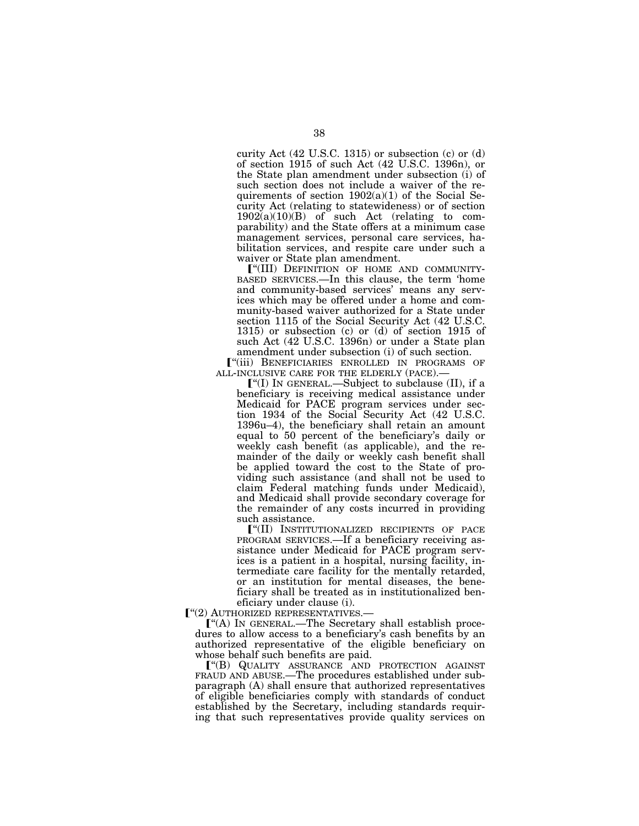curity Act  $(42 \text{ U.S.C. } 1315)$  or subsection  $(c)$  or  $(d)$ of section 1915 of such Act (42 U.S.C. 1396n), or the State plan amendment under subsection (i) of such section does not include a waiver of the requirements of section 1902(a)(1) of the Social Security Act (relating to statewideness) or of section  $1902(a)(10)(B)$  of such Act (relating to comparability) and the State offers at a minimum case management services, personal care services, habilitation services, and respite care under such a waiver or State plan amendment.<br>
["(III) DEFINITION OF HOME AND COMMUNITY-

BASED SERVICES.—In this clause, the term 'home and community-based services' means any services which may be offered under a home and community-based waiver authorized for a State under section 1115 of the Social Security Act (42 U.S.C. 1315) or subsection (c) or (d) of section 1915 of such Act (42 U.S.C. 1396n) or under a State plan amendment under subsection (i) of such section.

ø''(iii) BENEFICIARIES ENROLLED IN PROGRAMS OF ALL-INCLUSIVE CARE FOR THE ELDERLY (PACE).-

ø''(I) IN GENERAL.—Subject to subclause (II), if a beneficiary is receiving medical assistance under Medicaid for PACE program services under section 1934 of the Social Security Act (42 U.S.C. 1396u–4), the beneficiary shall retain an amount equal to 50 percent of the beneficiary's daily or weekly cash benefit (as applicable), and the remainder of the daily or weekly cash benefit shall be applied toward the cost to the State of providing such assistance (and shall not be used to claim Federal matching funds under Medicaid), and Medicaid shall provide secondary coverage for the remainder of any costs incurred in providing such assistance.

ø''(II) INSTITUTIONALIZED RECIPIENTS OF PACE PROGRAM SERVICES.—If a beneficiary receiving assistance under Medicaid for PACE program services is a patient in a hospital, nursing facility, intermediate care facility for the mentally retarded, or an institution for mental diseases, the beneficiary shall be treated as in institutionalized beneficiary under clause (i).

ø''(2) AUTHORIZED REPRESENTATIVES.—

 $\lbrack$  "(A) In GENERAL.—The Secretary shall establish procedures to allow access to a beneficiary's cash benefits by an authorized representative of the eligible beneficiary on whose behalf such benefits are paid.

ø''(B) QUALITY ASSURANCE AND PROTECTION AGAINST FRAUD AND ABUSE.—The procedures established under subparagraph (A) shall ensure that authorized representatives of eligible beneficiaries comply with standards of conduct established by the Secretary, including standards requiring that such representatives provide quality services on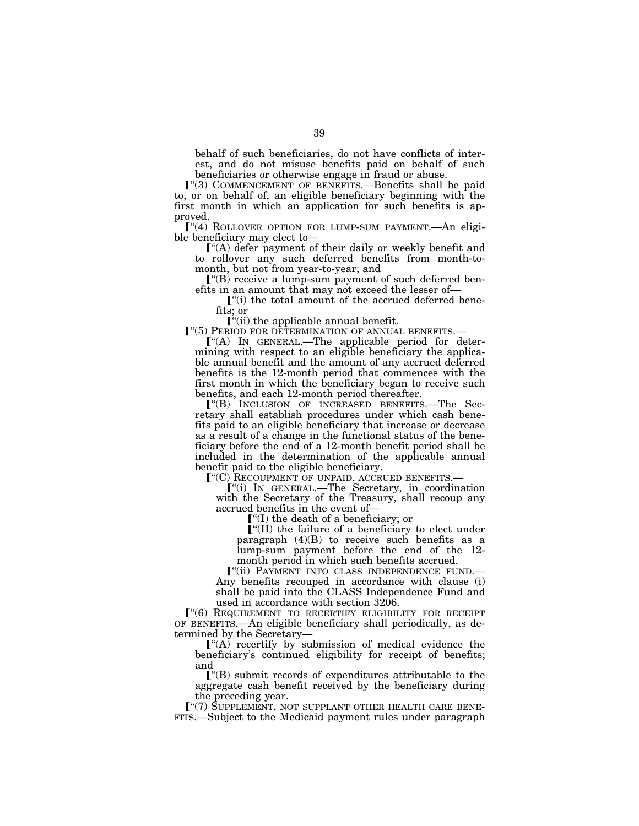behalf of such beneficiaries, do not have conflicts of interest, and do not misuse benefits paid on behalf of such beneficiaries or otherwise engage in fraud or abuse.

ø''(3) COMMENCEMENT OF BENEFITS.—Benefits shall be paid to, or on behalf of, an eligible beneficiary beginning with the first month in which an application for such benefits is approved.

<sup>"</sup>(4) ROLLOVER OPTION FOR LUMP-SUM PAYMENT.—An eligible beneficiary may elect to—

ø''(A) defer payment of their daily or weekly benefit and to rollover any such deferred benefits from month-tomonth, but not from year-to-year; and

 $\lbrack$  ( $\lbrack$ <sup>"(B)</sup>) receive a lump-sum payment of such deferred benefits in an amount that may not exceed the lesser of—

 $\lceil$  "(i) the total amount of the accrued deferred benefits; or

 $\lbrack$  "(ii) the applicable annual benefit.

 $\lbrack$ "(5) PERIOD FOR DETERMINATION OF ANNUAL BENEFITS.—<br> $\lbrack$ "(A) IN GENERAL.—The applicable period for determining with respect to an eligible beneficiary the applicable annual benefit and the amount of any accrued deferred benefits is the 12-month period that commences with the first month in which the beneficiary began to receive such benefits, and each 12-month period thereafter.

ø''(B) INCLUSION OF INCREASED BENEFITS.—The Secretary shall establish procedures under which cash benefits paid to an eligible beneficiary that increase or decrease as a result of a change in the functional status of the beneficiary before the end of a 12-month benefit period shall be included in the determination of the applicable annual benefit paid to the eligible beneficiary.

ø''(C) RECOUPMENT OF UNPAID, ACCRUED BENEFITS.—

ø''(i) IN GENERAL.—The Secretary, in coordination with the Secretary of the Treasury, shall recoup any accrued benefits in the event of—

 $\lbrack$  (I) the death of a beneficiary; or

 $\llbracket$ "(II) the failure of a beneficiary to elect under paragraph (4)(B) to receive such benefits as a lump-sum payment before the end of the 12 month period in which such benefits accrued.

<sup>"</sup>(ii) PAYMENT INTO CLASS INDEPENDENCE FUND. Any benefits recouped in accordance with clause (i) shall be paid into the CLASS Independence Fund and used in accordance with section 3206.

ø''(6) REQUIREMENT TO RECERTIFY ELIGIBILITY FOR RECEIPT OF BENEFITS.—An eligible beneficiary shall periodically, as determined by the Secretary—

 $\llbracket$ "(A) recertify by submission of medical evidence the beneficiary's continued eligibility for receipt of benefits; and

 $\llbracket$ "(B) submit records of expenditures attributable to the aggregate cash benefit received by the beneficiary during the preceding year.

<sup>"</sup>(7) SUPPLEMENT, NOT SUPPLANT OTHER HEALTH CARE BENE-FITS.—Subject to the Medicaid payment rules under paragraph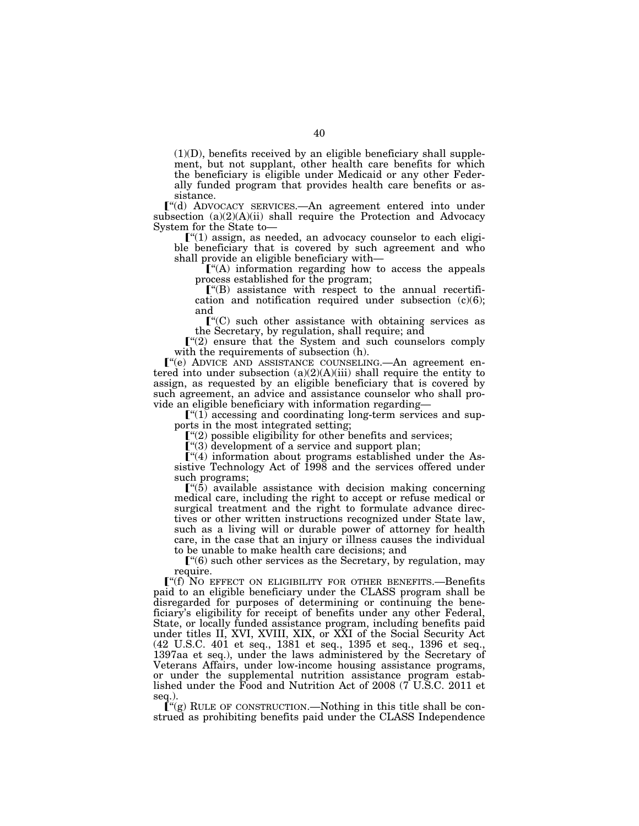$(1)(D)$ , benefits received by an eligible beneficiary shall supplement, but not supplant, other health care benefits for which the beneficiary is eligible under Medicaid or any other Federally funded program that provides health care benefits or assistance.

<sup>"</sup>(d) ADVOCACY SERVICES.—An agreement entered into under subsection  $(a)(2)(A)(ii)$  shall require the Protection and Advocacy System for the State to—

 $[$ "(1) assign, as needed, an advocacy counselor to each eligible beneficiary that is covered by such agreement and who

shall provide an eligible beneficiary with—<br> $\llbracket$ "(A) information regarding how to access the appeals process established for the program;

 $\mathbf{C}^{\mu}(\mathbf{B})$  assistance with respect to the annual recertification and notification required under subsection (c)(6); and

 $\lbrack$  (C) such other assistance with obtaining services as the Secretary, by regulation, shall require; and

 $\llbracket$ "(2) ensure that the System and such counselors comply with the requirements of subsection (h).

ø''(e) ADVICE AND ASSISTANCE COUNSELING.—An agreement entered into under subsection  $(a)(2)(A)(iii)$  shall require the entity to assign, as requested by an eligible beneficiary that is covered by such agreement, an advice and assistance counselor who shall provide an eligible beneficiary with information regarding—

 $\llbracket$  (1) accessing and coordinating long-term services and supports in the most integrated setting;

 $\llbracket$ "(2) possible eligibility for other benefits and services;

 $\llbracket$ "(3) development of a service and support plan;

 $\Gamma$ "(4) information about programs established under the Assistive Technology Act of 1998 and the services offered under such programs;

 $\lbrack$  (5) available assistance with decision making concerning medical care, including the right to accept or refuse medical or surgical treatment and the right to formulate advance directives or other written instructions recognized under State law, such as a living will or durable power of attorney for health care, in the case that an injury or illness causes the individual to be unable to make health care decisions; and

 $\llbracket$ <sup>"(6)</sup> such other services as the Secretary, by regulation, may require.

<sup>"</sup>(f) NO EFFECT ON ELIGIBILITY FOR OTHER BENEFITS.—Benefits paid to an eligible beneficiary under the CLASS program shall be disregarded for purposes of determining or continuing the beneficiary's eligibility for receipt of benefits under any other Federal, State, or locally funded assistance program, including benefits paid under titles II, XVI, XVIII, XIX, or XXI of the Social Security Act (42 U.S.C. 401 et seq., 1381 et seq., 1395 et seq., 1396 et seq., 1397aa et seq.), under the laws administered by the Secretary of Veterans Affairs, under low-income housing assistance programs, or under the supplemental nutrition assistance program established under the Food and Nutrition Act of 2008 (7 U.S.C. 2011 et seq.)

 $\int^{\alpha}(\mathbf{g})$  RULE OF CONSTRUCTION.—Nothing in this title shall be construed as prohibiting benefits paid under the CLASS Independence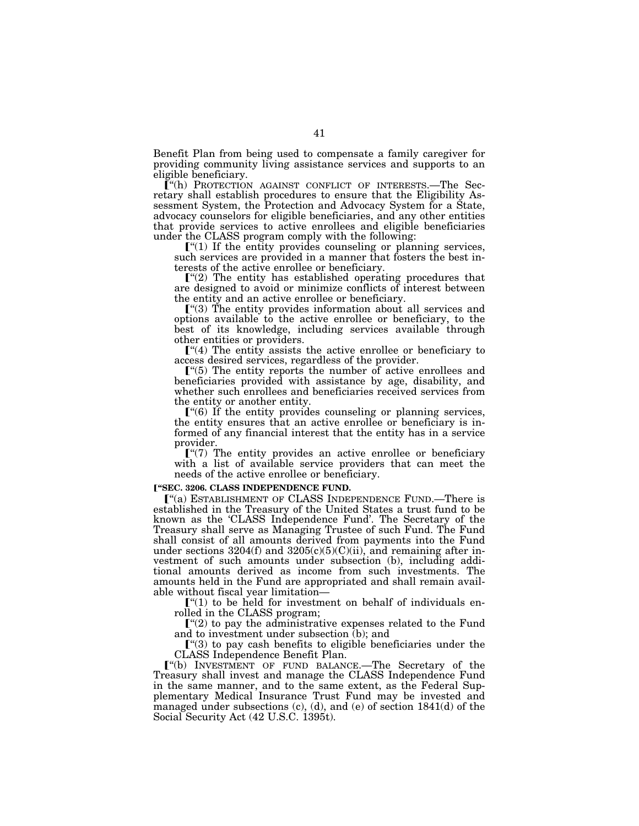Benefit Plan from being used to compensate a family caregiver for providing community living assistance services and supports to an eligible beneficiary.

<sup>"</sup>(h) PROTECTION AGAINST CONFLICT OF INTERESTS.—The Secretary shall establish procedures to ensure that the Eligibility Assessment System, the Protection and Advocacy System for a State, advocacy counselors for eligible beneficiaries, and any other entities that provide services to active enrollees and eligible beneficiaries under the CLASS program comply with the following:

 $\lbrack$ <sup>"(1)</sup> If the entity provides counseling or planning services, such services are provided in a manner that fosters the best interests of the active enrollee or beneficiary.

 $\llbracket$ "(2) The entity has established operating procedures that are designed to avoid or minimize conflicts of interest between the entity and an active enrollee or beneficiary.

 $\llbracket$  "(3) The entity provides information about all services and options available to the active enrollee or beneficiary, to the best of its knowledge, including services available through other entities or providers.

 $\llbracket$ <sup>"(4)</sup> The entity assists the active enrollee or beneficiary to access desired services, regardless of the provider.

 $\lbrack$  (5) The entity reports the number of active enrollees and beneficiaries provided with assistance by age, disability, and whether such enrollees and beneficiaries received services from the entity or another entity.

 $\llbracket$ "(6) If the entity provides counseling or planning services, the entity ensures that an active enrollee or beneficiary is informed of any financial interest that the entity has in a service provider.

 $\llbracket$  ( $\llbracket$ ) The entity provides an active enrollee or beneficiary with a list of available service providers that can meet the needs of the active enrollee or beneficiary.

### ø**''SEC. 3206. CLASS INDEPENDENCE FUND.**

<sup>"</sup>(a) ESTABLISHMENT OF CLASS INDEPENDENCE FUND.—There is established in the Treasury of the United States a trust fund to be known as the 'CLASS Independence Fund'. The Secretary of the Treasury shall serve as Managing Trustee of such Fund. The Fund shall consist of all amounts derived from payments into the Fund under sections  $3204(f)$  and  $3205(c)(5)(C)(ii)$ , and remaining after investment of such amounts under subsection (b), including additional amounts derived as income from such investments. The amounts held in the Fund are appropriated and shall remain available without fiscal year limitation—

 $\llbracket$  (1) to be held for investment on behalf of individuals enrolled in the CLASS program;

 $\llbracket$  "(2) to pay the administrative expenses related to the Fund and to investment under subsection (b); and

 $\llbracket$ <sup>"(3)</sup> to pay cash benefits to eligible beneficiaries under the CLASS Independence Benefit Plan.

ø''(b) INVESTMENT OF FUND BALANCE.—The Secretary of the Treasury shall invest and manage the CLASS Independence Fund in the same manner, and to the same extent, as the Federal Supplementary Medical Insurance Trust Fund may be invested and managed under subsections  $(c)$ ,  $(d)$ , and  $(e)$  of section 1841 $(d)$  of the Social Security Act (42 U.S.C. 1395t).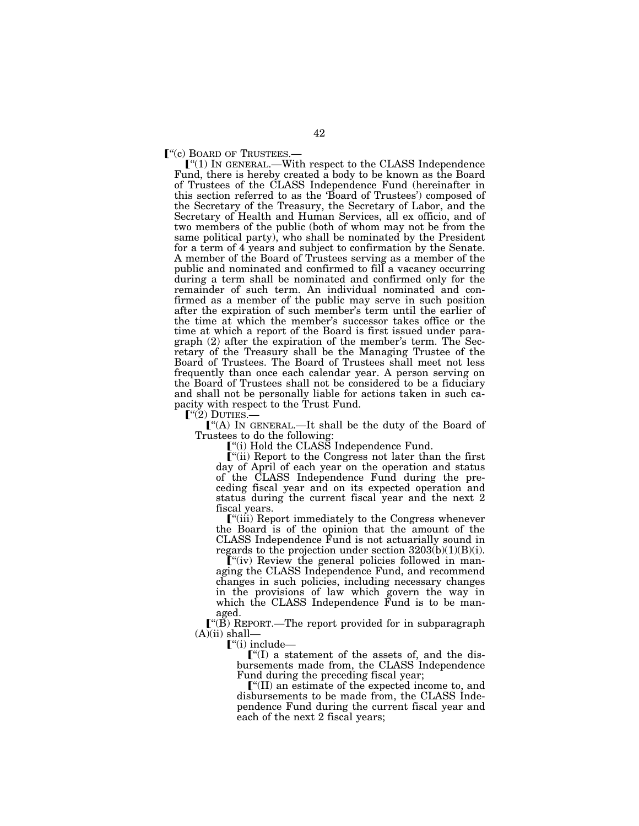$\lbrack$ "(c) BOARD OF TRUSTEES.—<br> $\lbrack$ "(1) IN GENERAL.—With respect to the CLASS Independence Fund, there is hereby created a body to be known as the Board of Trustees of the CLASS Independence Fund (hereinafter in this section referred to as the 'Board of Trustees') composed of the Secretary of the Treasury, the Secretary of Labor, and the Secretary of Health and Human Services, all ex officio, and of two members of the public (both of whom may not be from the same political party), who shall be nominated by the President for a term of 4 years and subject to confirmation by the Senate. A member of the Board of Trustees serving as a member of the public and nominated and confirmed to fill a vacancy occurring during a term shall be nominated and confirmed only for the remainder of such term. An individual nominated and confirmed as a member of the public may serve in such position after the expiration of such member's term until the earlier of the time at which the member's successor takes office or the time at which a report of the Board is first issued under paragraph (2) after the expiration of the member's term. The Secretary of the Treasury shall be the Managing Trustee of the Board of Trustees. The Board of Trustees shall meet not less frequently than once each calendar year. A person serving on the Board of Trustees shall not be considered to be a fiduciary and shall not be personally liable for actions taken in such capacity with respect to the Trust Fund.

 $\lbrack\!\lbrack\!\lbrack\!\lbrack(2)\!\rbrack$  DUTIES.—<br> $\lbrack\!\lbrack(4)\!\rbrack$  IN GENERAL.—It shall be the duty of the Board of Trustees to do the following:

 $\lbrack$ "(i) Hold the CLASS Independence Fund.

ø''(ii) Report to the Congress not later than the first day of April of each year on the operation and status of the CLASS Independence Fund during the preceding fiscal year and on its expected operation and status during the current fiscal year and the next 2 fiscal years.

**[**"(iii) Report immediately to the Congress whenever the Board is of the opinion that the amount of the CLASS Independence Fund is not actuarially sound in regards to the projection under section  $3203(b)(1)(B)(i)$ .

 $\check{J}$ "(iv) Review the general policies followed in managing the CLASS Independence Fund, and recommend changes in such policies, including necessary changes in the provisions of law which govern the way in which the CLASS Independence Fund is to be managed.

 $\mathbf{F}^{\prime}(\tilde{\mathbf{B}})$  REPORT.—The report provided for in subparagraph  $(A)(ii)$  shall—

 $\Gamma''(i)$  include—

 $\lbrack$  ( $\lbrack$ <sup>"</sup>(I) a statement of the assets of, and the disbursements made from, the CLASS Independence Fund during the preceding fiscal year;

ø''(II) an estimate of the expected income to, and disbursements to be made from, the CLASS Independence Fund during the current fiscal year and each of the next 2 fiscal years;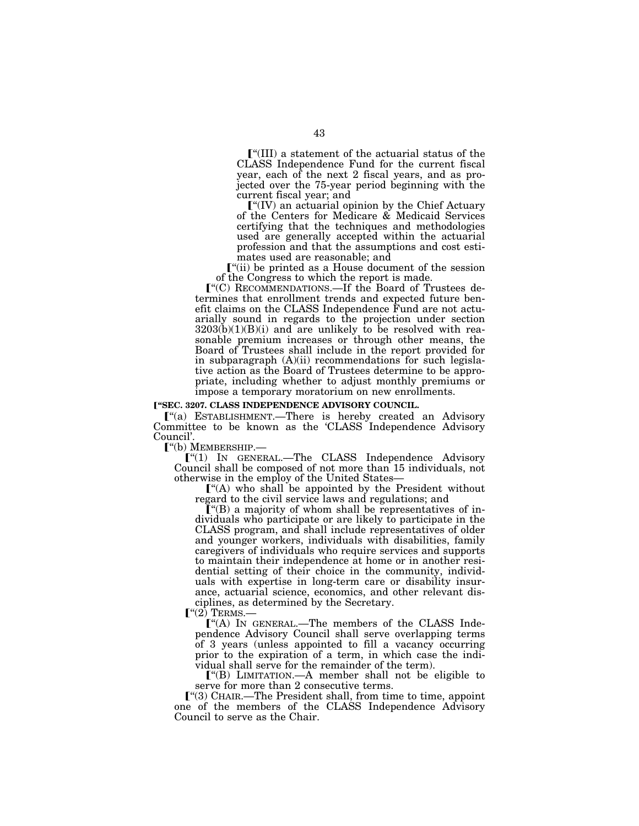$\lceil$ "(III) a statement of the actuarial status of the CLASS Independence Fund for the current fiscal year, each of the next 2 fiscal years, and as projected over the 75-year period beginning with the current fiscal year; and

 $\llbracket$ <sup>"</sup>(IV) an actuarial opinion by the Chief Actuary of the Centers for Medicare & Medicaid Services certifying that the techniques and methodologies used are generally accepted within the actuarial profession and that the assumptions and cost estimates used are reasonable; and

 $\mathbf{F}^{\text{``}}(ii)$  be printed as a House document of the session of the Congress to which the report is made.

ø''(C) RECOMMENDATIONS.—If the Board of Trustees determines that enrollment trends and expected future benefit claims on the CLASS Independence Fund are not actuarially sound in regards to the projection under section 3203(b)(1)(B)(i) and are unlikely to be resolved with reasonable premium increases or through other means, the Board of Trustees shall include in the report provided for in subparagraph (A)(ii) recommendations for such legislative action as the Board of Trustees determine to be appropriate, including whether to adjust monthly premiums or impose a temporary moratorium on new enrollments.

#### ø**''SEC. 3207. CLASS INDEPENDENCE ADVISORY COUNCIL.**

ø''(a) ESTABLISHMENT.—There is hereby created an Advisory Committee to be known as the 'CLASS Independence Advisory Council'.<br>
["(b) MEMBERSHIP.—

["(1) IN GENERAL.—The CLASS Independence Advisory Council shall be composed of not more than 15 individuals, not otherwise in the employ of the United States—

 $\mathbf{I}^{\omega}(A)$  who shall be appointed by the President without regard to the civil service laws and regulations; and

 $\check{\mathsf{I}}$ "(B) a majority of whom shall be representatives of individuals who participate or are likely to participate in the CLASS program, and shall include representatives of older and younger workers, individuals with disabilities, family caregivers of individuals who require services and supports to maintain their independence at home or in another residential setting of their choice in the community, individuals with expertise in long-term care or disability insurance, actuarial science, economics, and other relevant disciplines, as determined by the Secretary.

 $\lceil$ "(2) TERMS.-

 $\llbracket$ "(A) In GENERAL.—The members of the CLASS Independence Advisory Council shall serve overlapping terms of 3 years (unless appointed to fill a vacancy occurring prior to the expiration of a term, in which case the individual shall serve for the remainder of the term).

 $\llbracket$ "(B) LIMITATION.—A member shall not be eligible to serve for more than 2 consecutive terms.

 $\lceil$  "(3) CHAIR.—The President shall, from time to time, appoint one of the members of the CLASS Independence Advisory Council to serve as the Chair.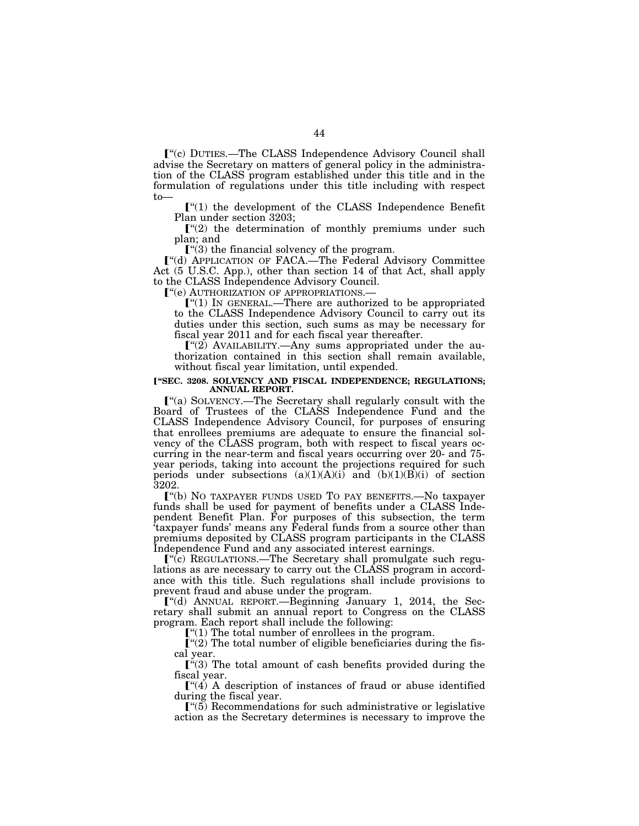$\lceil$ "(c) DUTIES.—The CLASS Independence Advisory Council shall advise the Secretary on matters of general policy in the administration of the CLASS program established under this title and in the formulation of regulations under this title including with respect to—

 $\llbracket$ "(1) the development of the CLASS Independence Benefit Plan under section 3203;

 $\llbracket$ "(2) the determination of monthly premiums under such plan; and

 $\llbracket$ <sup>"(3)</sup> the financial solvency of the program.

ø''(d) APPLICATION OF FACA.—The Federal Advisory Committee Act (5 U.S.C. App.), other than section 14 of that Act, shall apply to the CLASS Independence Advisory Council.

ø''(e) AUTHORIZATION OF APPROPRIATIONS.—

 $\lbrack$  (1) In GENERAL.—There are authorized to be appropriated to the CLASS Independence Advisory Council to carry out its duties under this section, such sums as may be necessary for fiscal year 2011 and for each fiscal year thereafter.

 $\lbrack$  "(2) AVAILABILITY.—Any sums appropriated under the authorization contained in this section shall remain available, without fiscal year limitation, until expended.

#### ø**''SEC. 3208. SOLVENCY AND FISCAL INDEPENDENCE; REGULATIONS; ANNUAL REPORT.**

ø''(a) SOLVENCY.—The Secretary shall regularly consult with the Board of Trustees of the CLASS Independence Fund and the CLASS Independence Advisory Council, for purposes of ensuring that enrollees premiums are adequate to ensure the financial solvency of the CLASS program, both with respect to fiscal years occurring in the near-term and fiscal years occurring over 20- and 75 year periods, taking into account the projections required for such periods under subsections  $(a)(1)(A)(i)$  and  $(b)(1)(B)(i)$  of section 3202.

ø''(b) NO TAXPAYER FUNDS USED TO PAY BENEFITS.—No taxpayer funds shall be used for payment of benefits under a CLASS Independent Benefit Plan. For purposes of this subsection, the term 'taxpayer funds' means any Federal funds from a source other than premiums deposited by CLASS program participants in the CLASS Independence Fund and any associated interest earnings.

<sup>"(c)</sup> REGULATIONS.—The Secretary shall promulgate such regulations as are necessary to carry out the CLASS program in accordance with this title. Such regulations shall include provisions to prevent fraud and abuse under the program.

ø''(d) ANNUAL REPORT.—Beginning January 1, 2014, the Secretary shall submit an annual report to Congress on the CLASS program. Each report shall include the following:

 $\mathfrak{f}^*(1)$  The total number of enrollees in the program.

 $\llbracket$ "(2) The total number of eligible beneficiaries during the fiscal year. ø''(3) The total amount of cash benefits provided during the

fiscal year.

 $\lceil$  "(4) A description of instances of fraud or abuse identified during the fiscal year.

 $\lceil$  "(5) Recommendations for such administrative or legislative action as the Secretary determines is necessary to improve the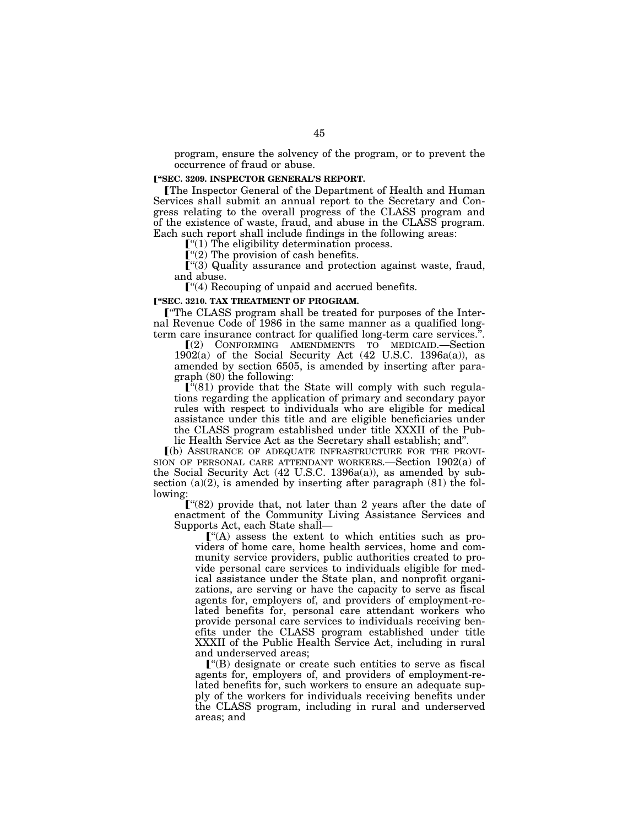program, ensure the solvency of the program, or to prevent the occurrence of fraud or abuse.

#### ø**''SEC. 3209. INSPECTOR GENERAL'S REPORT.**

øThe Inspector General of the Department of Health and Human Services shall submit an annual report to the Secretary and Congress relating to the overall progress of the CLASS program and of the existence of waste, fraud, and abuse in the CLASS program. Each such report shall include findings in the following areas:

 $\lbrack$  (1) The eligibility determination process.

 $\lbrack$ <sup>"(2)</sup> The provision of cash benefits.

 $\lceil$  (3) Quality assurance and protection against waste, fraud, and abuse.

 $\lbrack$ <sup>"(4)</sup> Recouping of unpaid and accrued benefits.

# ø**''SEC. 3210. TAX TREATMENT OF PROGRAM.**

ø''The CLASS program shall be treated for purposes of the Internal Revenue Code of 1986 in the same manner as a qualified longterm care insurance contract for qualified long-term care services."

ø(2) CONFORMING AMENDMENTS TO MEDICAID.—Section  $1902(a)$  of the Social Security Act (42 U.S.C. 1396a(a)), as amended by section 6505, is amended by inserting after paragraph (80) the following:

 $\llbracket$ <sup>"(81)</sup> provide that the State will comply with such regulations regarding the application of primary and secondary payor rules with respect to individuals who are eligible for medical assistance under this title and are eligible beneficiaries under the CLASS program established under title XXXII of the Public Health Service Act as the Secretary shall establish; and''.

ø(b) ASSURANCE OF ADEQUATE INFRASTRUCTURE FOR THE PROVI-SION OF PERSONAL CARE ATTENDANT WORKERS.—Section 1902(a) of the Social Security Act (42 U.S.C. 1396a(a)), as amended by subsection  $(a)(2)$ , is amended by inserting after paragraph  $(81)$  the following:

 $\llbracket$  (82) provide that, not later than 2 years after the date of enactment of the Community Living Assistance Services and Supports Act, each State shall—

 $\lceil$  "(A) assess the extent to which entities such as providers of home care, home health services, home and community service providers, public authorities created to provide personal care services to individuals eligible for medical assistance under the State plan, and nonprofit organizations, are serving or have the capacity to serve as fiscal agents for, employers of, and providers of employment-related benefits for, personal care attendant workers who provide personal care services to individuals receiving benefits under the CLASS program established under title XXXII of the Public Health Service Act, including in rural and underserved areas;

 $\lbrack$  ( $\lbrack$ <sup>"(B)</sup>) designate or create such entities to serve as fiscal agents for, employers of, and providers of employment-related benefits for, such workers to ensure an adequate supply of the workers for individuals receiving benefits under the CLASS program, including in rural and underserved areas; and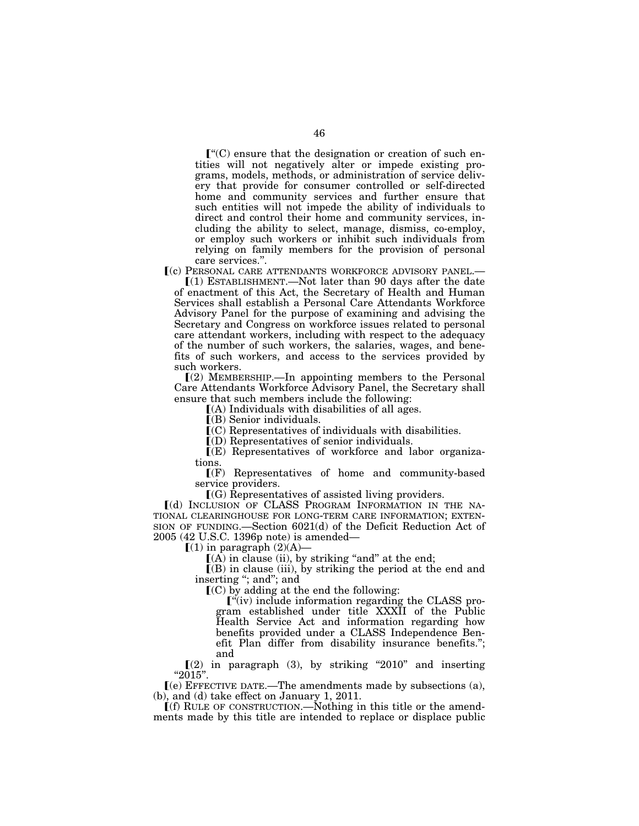$\lbrack$ <sup>"(C)</sup> ensure that the designation or creation of such entities will not negatively alter or impede existing programs, models, methods, or administration of service delivery that provide for consumer controlled or self-directed home and community services and further ensure that such entities will not impede the ability of individuals to direct and control their home and community services, including the ability to select, manage, dismiss, co-employ, or employ such workers or inhibit such individuals from relying on family members for the provision of personal care services.''.

ø(c) PERSONAL CARE ATTENDANTS WORKFORCE ADVISORY PANEL.—

 $(1)$  ESTABLISHMENT.—Not later than 90 days after the date of enactment of this Act, the Secretary of Health and Human Services shall establish a Personal Care Attendants Workforce Advisory Panel for the purpose of examining and advising the Secretary and Congress on workforce issues related to personal care attendant workers, including with respect to the adequacy of the number of such workers, the salaries, wages, and benefits of such workers, and access to the services provided by such workers.

 $(2)$  MEMBERSHIP.—In appointing members to the Personal Care Attendants Workforce Advisory Panel, the Secretary shall ensure that such members include the following:

 $(A)$  Individuals with disabilities of all ages.

 $\Gamma$ (B) Senior individuals.

 $\mathbf{I}(\mathbf{C})$  Representatives of individuals with disabilities.

ø(D) Representatives of senior individuals.

 $I(E)$  Representatives of workforce and labor organizations.

 $\Gamma(F)$  Representatives of home and community-based service providers.

 $\Gamma(G)$  Representatives of assisted living providers.

[(d) INCLUSION OF CLASS PROGRAM INFORMATION IN THE NA-TIONAL CLEARINGHOUSE FOR LONG-TERM CARE INFORMATION; EXTEN-SION OF FUNDING.—Section 6021(d) of the Deficit Reduction Act of 2005 (42 U.S.C. 1396p note) is amended—

 $(1)$  in paragraph  $(2)(A)$ 

 $\mathbf{I}(\hat{\mathbf{A}})$  in clause (ii), by striking "and" at the end;

 $\mathbf{I}(\mathbf{B})$  in clause (iii), by striking the period at the end and inserting "; and"; and

 $\mathbf{C}(C)$  by adding at the end the following:

 $\mathbf{I}^{\alpha}(iv)$  include information regarding the CLASS program established under title XXXII of the Public Health Service Act and information regarding how benefits provided under a CLASS Independence Benefit Plan differ from disability insurance benefits.''; and

 $(2)$  in paragraph (3), by striking "2010" and inserting  $"2015"$ .

 $(e)$  EFFECTIVE DATE.—The amendments made by subsections (a), (b), and (d) take effect on January 1, 2011.

 $f(f)$  RULE OF CONSTRUCTION.—Nothing in this title or the amendments made by this title are intended to replace or displace public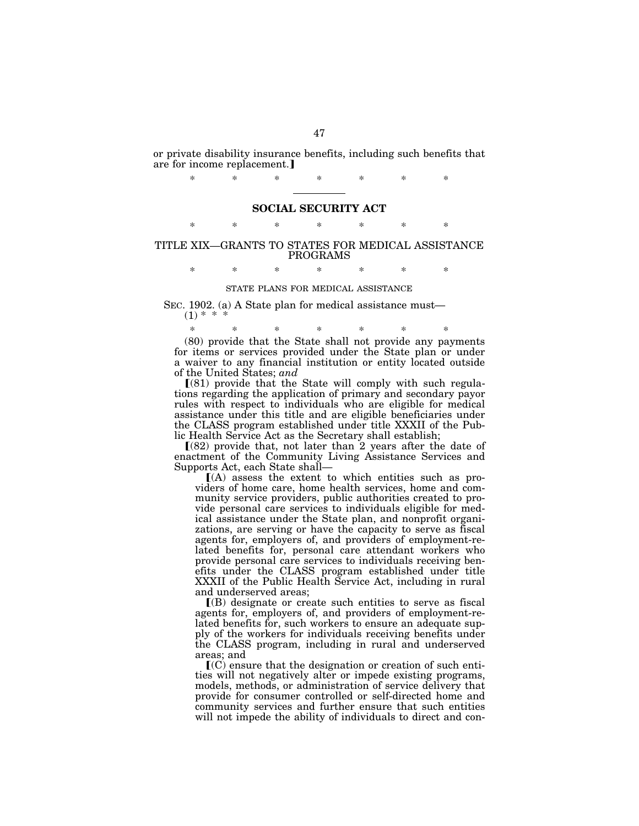or private disability insurance benefits, including such benefits that are for income replacement.

\* \* \* \* \* \* \*

#### **SOCIAL SECURITY ACT**

# \* \* \* \* \* \* \*

## TITLE XIX—GRANTS TO STATES FOR MEDICAL ASSISTANCE PROGRAMS

# \* \* \* \* \* \* \* STATE PLANS FOR MEDICAL ASSISTANCE

SEC. 1902. (a) A State plan for medical assistance must—  $(1)$  \* \*

\* \* \* \* \* \* \* (80) provide that the State shall not provide any payments for items or services provided under the State plan or under a waiver to any financial institution or entity located outside of the United States; *and* 

 $[(81)$  provide that the State will comply with such regulations regarding the application of primary and secondary payor rules with respect to individuals who are eligible for medical assistance under this title and are eligible beneficiaries under the CLASS program established under title XXXII of the Public Health Service Act as the Secretary shall establish;

 $(82)$  provide that, not later than 2 years after the date of enactment of the Community Living Assistance Services and Supports Act, each State shall—

 $(A)$  assess the extent to which entities such as providers of home care, home health services, home and community service providers, public authorities created to provide personal care services to individuals eligible for medical assistance under the State plan, and nonprofit organizations, are serving or have the capacity to serve as fiscal agents for, employers of, and providers of employment-related benefits for, personal care attendant workers who provide personal care services to individuals receiving benefits under the CLASS program established under title XXXII of the Public Health Service Act, including in rural and underserved areas;

 $($ B) designate or create such entities to serve as fiscal agents for, employers of, and providers of employment-related benefits for, such workers to ensure an adequate supply of the workers for individuals receiving benefits under the CLASS program, including in rural and underserved areas; and

 $\mathbf{C}(C)$  ensure that the designation or creation of such entities will not negatively alter or impede existing programs, models, methods, or administration of service delivery that provide for consumer controlled or self-directed home and community services and further ensure that such entities will not impede the ability of individuals to direct and con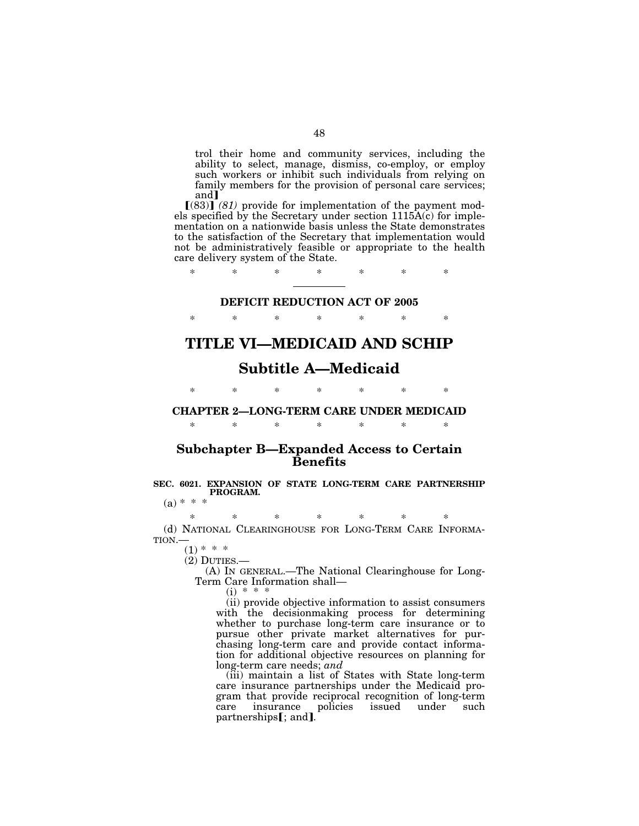trol their home and community services, including the ability to select, manage, dismiss, co-employ, or employ such workers or inhibit such individuals from relying on family members for the provision of personal care services; and<sup>1</sup>

 $(83)$  (81) provide for implementation of the payment models specified by the Secretary under section 1115A(c) for implementation on a nationwide basis unless the State demonstrates to the satisfaction of the Secretary that implementation would not be administratively feasible or appropriate to the health care delivery system of the State.

\* \* \* \* \* \* \*

# **DEFICIT REDUCTION ACT OF 2005**  \* \* \* \* \* \* \*

# **TITLE VI—MEDICAID AND SCHIP**

# **Subtitle A—Medicaid**

\* \* \* \* \* \* \*

# **CHAPTER 2—LONG-TERM CARE UNDER MEDICAID**

# \* \* \* \* \* \* \* **Subchapter B—Expanded Access to Certain**

# **Benefits**

## **SEC. 6021. EXPANSION OF STATE LONG-TERM CARE PARTNERSHIP PROGRAM.**

 $(a) * * *$ 

\* \* \* \* \* \* \* (d) NATIONAL CLEARINGHOUSE FOR LONG-TERM CARE INFORMATION.—

 $(1) * * * *$ 

(2) DUTIES.—

(A) IN GENERAL.—The National Clearinghouse for Long-Term Care Information shall—

 $(i)$  \*

(ii) provide objective information to assist consumers with the decisionmaking process for determining whether to purchase long-term care insurance or to pursue other private market alternatives for purchasing long-term care and provide contact information for additional objective resources on planning for long-term care needs; *and* 

(iii) maintain a list of States with State long-term care insurance partnerships under the Medicaid program that provide reciprocal recognition of long-term care insurance policies issued under such partnerships[; and**]**.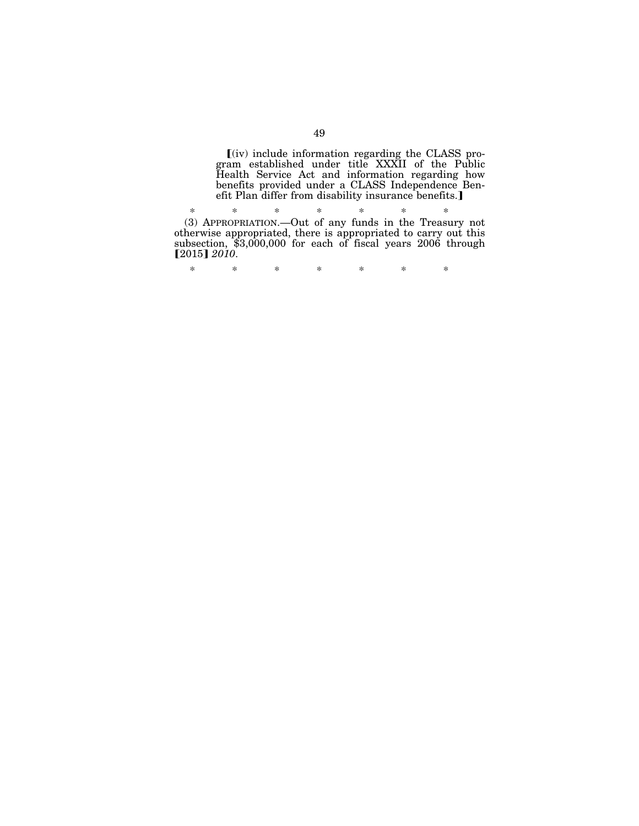ø(iv) include information regarding the CLASS program established under title XXXII of the Public Health Service Act and information regarding how benefits provided under a CLASS Independence Benefit Plan differ from disability insurance benefits.]

\* \* \* \* \* \* \* (3) APPROPRIATION.—Out of any funds in the Treasury not otherwise appropriated, there is appropriated to carry out this subsection, \$3,000,000 for each of fiscal years 2006 through  $[2015] 2010.$ 

\* \* \* \* \* \* \*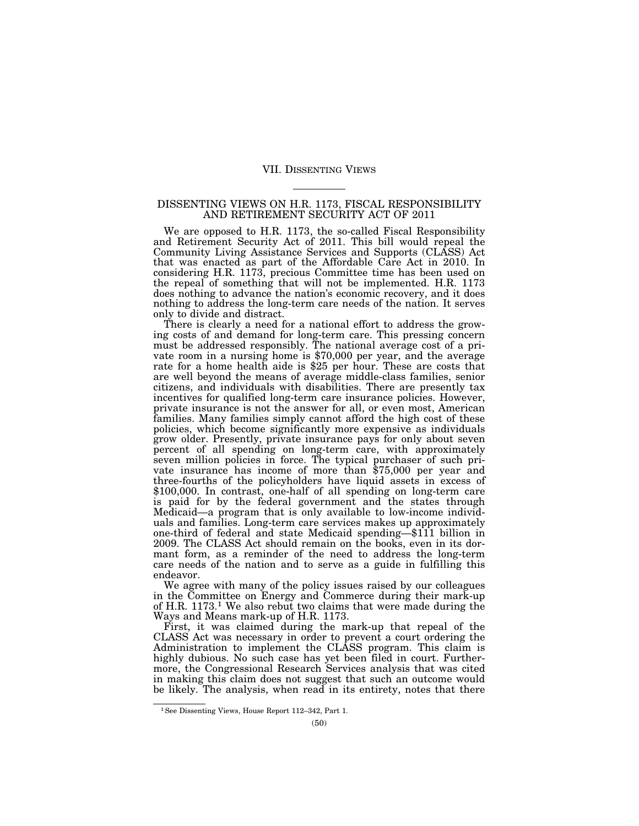## VII. DISSENTING VIEWS

#### DISSENTING VIEWS ON H.R. 1173, FISCAL RESPONSIBILITY AND RETIREMENT SECURITY ACT OF 2011

We are opposed to H.R. 1173, the so-called Fiscal Responsibility and Retirement Security Act of 2011. This bill would repeal the Community Living Assistance Services and Supports (CLASS) Act that was enacted as part of the Affordable Care Act in 2010. In considering H.R. 1173, precious Committee time has been used on the repeal of something that will not be implemented. H.R. 1173 does nothing to advance the nation's economic recovery, and it does nothing to address the long-term care needs of the nation. It serves only to divide and distract.

There is clearly a need for a national effort to address the growing costs of and demand for long-term care. This pressing concern must be addressed responsibly. The national average cost of a private room in a nursing home is \$70,000 per year, and the average rate for a home health aide is \$25 per hour. These are costs that are well beyond the means of average middle-class families, senior citizens, and individuals with disabilities. There are presently tax incentives for qualified long-term care insurance policies. However, private insurance is not the answer for all, or even most, American families. Many families simply cannot afford the high cost of these policies, which become significantly more expensive as individuals grow older. Presently, private insurance pays for only about seven percent of all spending on long-term care, with approximately seven million policies in force. The typical purchaser of such private insurance has income of more than \$75,000 per year and three-fourths of the policyholders have liquid assets in excess of \$100,000. In contrast, one-half of all spending on long-term care is paid for by the federal government and the states through Medicaid—a program that is only available to low-income individuals and families. Long-term care services makes up approximately one-third of federal and state Medicaid spending—\$111 billion in 2009. The CLASS Act should remain on the books, even in its dormant form, as a reminder of the need to address the long-term care needs of the nation and to serve as a guide in fulfilling this endeavor.

We agree with many of the policy issues raised by our colleagues in the Committee on Energy and Commerce during their mark-up of H.R. 1173.1 We also rebut two claims that were made during the Ways and Means mark-up of H.R. 1173.

First, it was claimed during the mark-up that repeal of the CLASS Act was necessary in order to prevent a court ordering the Administration to implement the CLASS program. This claim is highly dubious. No such case has yet been filed in court. Furthermore, the Congressional Research Services analysis that was cited in making this claim does not suggest that such an outcome would be likely. The analysis, when read in its entirety, notes that there

<sup>1</sup>See Dissenting Views, House Report 112–342, Part 1.